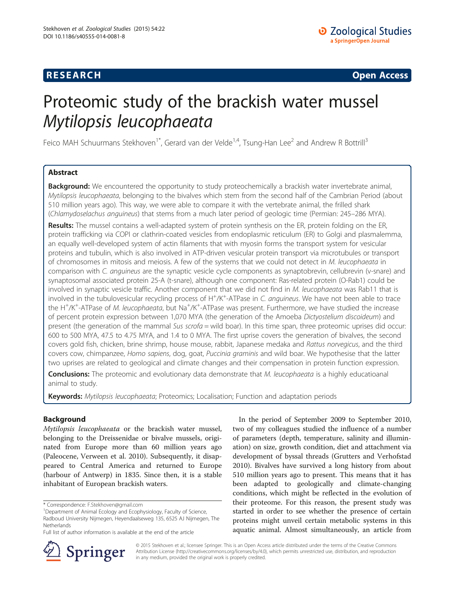## **RESEARCH CHINESE ARCH CHINESE ARCH CHINESE ARCH <b>CHINESE ARCH**

# Proteomic study of the brackish water mussel Mytilopsis leucophaeata

Feico MAH Schuurmans Stekhoven<sup>1\*</sup>, Gerard van der Velde<sup>1,4</sup>, Tsung-Han Lee<sup>2</sup> and Andrew R Bottrill<sup>3</sup>

## Abstract

Background: We encountered the opportunity to study proteochemically a brackish water invertebrate animal, Mytilopsis leucophaeata, belonging to the bivalves which stem from the second half of the Cambrian Period (about 510 million years ago). This way, we were able to compare it with the vertebrate animal, the frilled shark (Chlamydoselachus anguineus) that stems from a much later period of geologic time (Permian: 245–286 MYA).

Results: The mussel contains a well-adapted system of protein synthesis on the ER, protein folding on the ER, protein trafficking via COPI or clathrin-coated vesicles from endoplasmic reticulum (ER) to Golgi and plasmalemma, an equally well-developed system of actin filaments that with myosin forms the transport system for vesicular proteins and tubulin, which is also involved in ATP-driven vesicular protein transport via microtubules or transport of chromosomes in mitosis and meiosis. A few of the systems that we could not detect in M. leucophaeata in comparison with C. anguineus are the synaptic vesicle cycle components as synaptobrevin, cellubrevin (v-snare) and synaptosomal associated protein 25-A (t-snare), although one component: Ras-related protein (O-Rab1) could be involved in synaptic vesicle traffic. Another component that we did not find in M. leucophaeata was Rab11 that is involved in the tubulovesicular recycling process of H<sup>+</sup>/K<sup>+</sup>-ATPase in C. anguineus. We have not been able to trace the H<sup>+</sup>/K<sup>+</sup>-ATPase of M. leucophaeata, but Na<sup>+</sup>/K<sup>+</sup>-ATPase was present. Furthermore, we have studied the increase of percent protein expression between 1,070 MYA (the generation of the Amoeba Dictyostelium discoideum) and present (the generation of the mammal Sus  $\frac{\sinh(\theta)}{\cosh(\theta)}$  or this time span, three proteomic uprises did occur: 600 to 500 MYA, 47.5 to 4.75 MYA, and 1.4 to 0 MYA. The first uprise covers the generation of bivalves, the second covers gold fish, chicken, brine shrimp, house mouse, rabbit, Japanese medaka and Rattus norvegicus, and the third covers cow, chimpanzee, Homo sapiens, dog, goat, Puccinia graminis and wild boar. We hypothesise that the latter two uprises are related to geological and climate changes and their compensation in protein function expression.

**Conclusions:** The proteomic and evolutionary data demonstrate that M. leucophaeata is a highly educatioanal animal to study.

Keywords: Mytilopsis leucophaeata; Proteomics; Localisation; Function and adaptation periods

## Background

Mytilopsis leucophaeata or the brackish water mussel, belonging to the Dreissenidae or bivalve mussels, originated from Europe more than 60 million years ago (Paleocene, Verween et al. [2010](#page-15-0)). Subsequently, it disappeared to Central America and returned to Europe (harbour of Antwerp) in 1835. Since then, it is a stable inhabitant of European brackish waters.

In the period of September 2009 to September 2010, two of my colleagues studied the influence of a number of parameters (depth, temperature, salinity and illumination) on size, growth condition, diet and attachment via development of byssal threads (Grutters and Verhofstad [2010](#page-14-0)). Bivalves have survived a long history from about 510 million years ago to present. This means that it has been adapted to geologically and climate-changing conditions, which might be reflected in the evolution of their proteome. For this reason, the present study was started in order to see whether the presence of certain proteins might unveil certain metabolic systems in this aquatic animal. Almost simultaneously, an article from



© 2015 Stekhoven et al.; licensee Springer. This is an Open Access article distributed under the terms of the Creative Commons Attribution License [\(http://creativecommons.org/licenses/by/4.0\)](http://creativecommons.org/licenses/by/4.0), which permits unrestricted use, distribution, and reproduction in any medium, provided the original work is properly credited.

<sup>\*</sup> Correspondence: [F.Stekhoven@gmail.com](mailto:F.Stekhoven@gmail.com) <sup>1</sup>

<sup>&</sup>lt;sup>1</sup>Department of Animal Ecology and Ecophysiology, Faculty of Science, Radboud University Nijmegen, Heyendaalseweg 135, 6525 AJ Nijmegen, The Netherlands

Full list of author information is available at the end of the article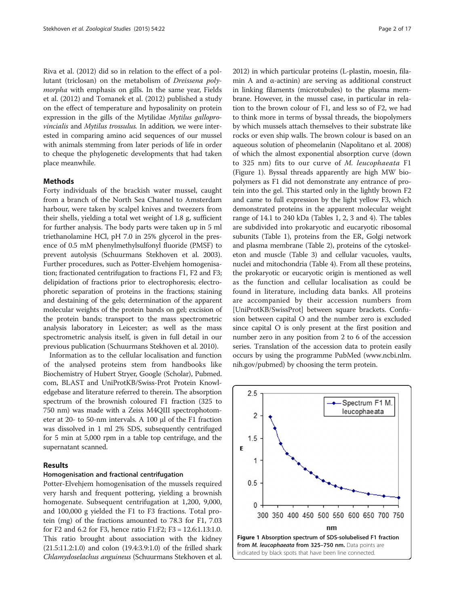<span id="page-1-0"></span>Riva et al. [\(2012\)](#page-15-0) did so in relation to the effect of a pollutant (triclosan) on the metabolism of Dreissena polymorpha with emphasis on gills. In the same year, Fields et al. [\(2012\)](#page-14-0) and Tomanek et al. [\(2012\)](#page-15-0) published a study on the effect of temperature and hyposalinity on protein expression in the gills of the Mytilidae Mytilus galloprovincialis and Mytilus trossulus. In addition, we were interested in comparing amino acid sequences of our mussel with animals stemming from later periods of life in order to cheque the phylogenetic developments that had taken place meanwhile.

#### Methods

Forty individuals of the brackish water mussel, caught from a branch of the North Sea Channel to Amsterdam harbour, were taken by scalpel knives and tweezers from their shells, yielding a total wet weight of 1.8 g, sufficient for further analysis. The body parts were taken up in 5 ml triethanolamine HCl, pH 7.0 in 25% glycerol in the presence of 0.5 mM phenylmethylsulfonyl fluoride (PMSF) to prevent autolysis (Schuurmans Stekhoven et al. [2003](#page-15-0)). Further procedures, such as Potter-Elvehjem homogenisation; fractionated centrifugation to fractions F1, F2 and F3; delipidation of fractions prior to electrophoresis; electrophoretic separation of proteins in the fractions; staining and destaining of the gels; determination of the apparent molecular weights of the protein bands on gel; excision of the protein bands; transport to the mass spectrometric analysis laboratory in Leicester; as well as the mass spectrometric analysis itself, is given in full detail in our previous publication (Schuurmans Stekhoven et al. [2010\)](#page-15-0).

Information as to the cellular localisation and function of the analysed proteins stem from handbooks like Biochemistry of Hubert Stryer, Google (Scholar), Pubmed. com, BLAST and UniProtKB/Swiss-Prot Protein Knowledgebase and literature referred to therein. The absorption spectrum of the brownish coloured F1 fraction (325 to 750 nm) was made with a Zeiss M4QIII spectrophotometer at 20- to 50-nm intervals. A 100 μl of the F1 fraction was dissolved in 1 ml 2% SDS, subsequently centrifuged for 5 min at 5,000 rpm in a table top centrifuge, and the supernatant scanned.

#### Results

#### Homogenisation and fractional centrifugation

Potter-Elvehjem homogenisation of the mussels required very harsh and frequent pottering, yielding a brownish homogenate. Subsequent centrifugation at 1,200, 9,000, and 100,000 g yielded the F1 to F3 fractions. Total protein (mg) of the fractions amounted to 78.3 for F1, 7.03 for F2 and 6.2 for F3, hence ratio F1:F2; F3 = 12.6:1.13:1.0. This ratio brought about association with the kidney (21.5:11.2:1.0) and colon (19.4:3.9:1.0) of the frilled shark Chlamydoselachus anguineus (Schuurmans Stekhoven et al. [2012\)](#page-15-0) in which particular proteins (L-plastin, moesin, filamin A and  $\alpha$ -actinin) are serving as additional construct in linking filaments (microtubules) to the plasma membrane. However, in the mussel case, in particular in relation to the brown colour of F1, and less so of F2, we had to think more in terms of byssal threads, the biopolymers by which mussels attach themselves to their substrate like rocks or even ship walls. The brown colour is based on an aqueous solution of pheomelanin (Napolitano et al. [2008](#page-15-0)) of which the almost exponential absorption curve (down to 325 nm) fits to our curve of M. leucophaeata F1 (Figure 1). Byssal threads apparently are high MW biopolymers as F1 did not demonstrate any entrance of protein into the gel. This started only in the lightly brown F2 and came to full expression by the light yellow F3, which demonstrated proteins in the apparent molecular weight range of 14.1 to 240 kDa (Tables [1,](#page-2-0) [2](#page-4-0), [3](#page-6-0) and [4\)](#page-8-0). The tables are subdivided into prokaryotic and eucaryotic ribosomal subunits (Table [1](#page-2-0)), proteins from the ER, Golgi network and plasma membrane (Table [2](#page-4-0)), proteins of the cytoskeleton and muscle (Table [3](#page-6-0)) and cellular vacuoles, vaults, nuclei and mitochondria (Table [4\)](#page-8-0). From all these proteins, the prokaryotic or eucaryotic origin is mentioned as well as the function and cellular localisation as could be found in literature, including data banks. All proteins are accompanied by their accession numbers from [UniProtKB/SwissProt] between square brackets. Confusion between capital O and the number zero is excluded since capital O is only present at the first position and number zero in any position from 2 to 6 of the accession series. Translation of the accession data to protein easily occurs by using the programme PubMed [\(www.ncbi.nlm.](http://www.ncbi.nlm.nih.gov/pubmed) [nih.gov/pubmed](http://www.ncbi.nlm.nih.gov/pubmed)) by choosing the term protein.

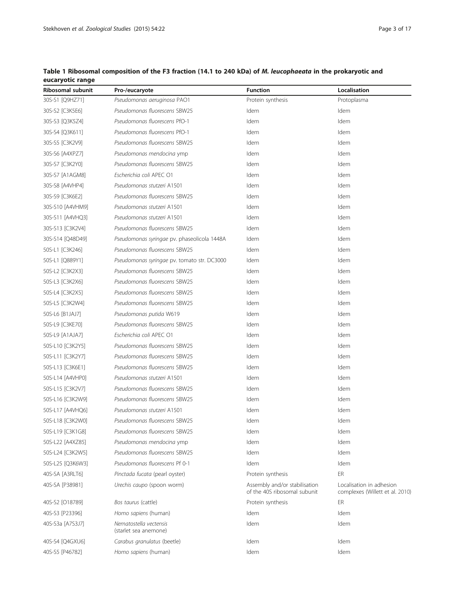| Ribosomal subunit | Pro-/eucaryote                                  | <b>Function</b>                                               | Localisation                                                |
|-------------------|-------------------------------------------------|---------------------------------------------------------------|-------------------------------------------------------------|
| 30S-S1 [Q9HZ71]   | Pseudomonas aeruginosa PAO1                     | Protein synthesis                                             | Protoplasma                                                 |
| 30S-S2 [C3K5E6]   | Pseudomonas fluorescens SBW25                   | Idem                                                          | Idem                                                        |
| 30S-S3 [Q3K5Z4]   | Pseudomonas fluorescens PfO-1                   | Idem                                                          | Idem                                                        |
| 30S-S4 [Q3K611]   | Pseudomonas fluorescens PfO-1                   | Idem                                                          | Idem                                                        |
| 30S-S5 [C3K2V9]   | Pseudomonas fluorescens SBW25                   | Idem                                                          | Idem                                                        |
| 30S-S6 [A4XPZ7]   | Pseudomonas mendocina ymp                       | Idem                                                          | Idem                                                        |
| 30S-S7 [C3K2Y0]   | Pseudomonas fluorescens SBW25                   | Idem                                                          | Idem                                                        |
| 30S-S7 [A1AGM8]   | Escherichia coli APEC O1                        | Idem                                                          | Idem                                                        |
| 30S-S8 [A4VHP4]   | Pseudomonas stutzeri A1501                      | Idem                                                          | Idem                                                        |
| 30S-S9 [C3K6E2]   | Pseudomonas fluorescens SBW25                   | Idem                                                          | Idem                                                        |
| 30S-S10 [A4VHM9]  | Pseudomonas stutzeri A1501                      | Idem                                                          | Idem                                                        |
| 30S-S11 [A4VHQ3]  | Pseudomonas stutzeri A1501                      | Idem                                                          | Idem                                                        |
| 30S-S13 [C3K2V4]  | Pseudomonas fluorescens SBW25                   | Idem                                                          | Idem                                                        |
| 30S-S14 [Q48D49]  | Pseudomonas syringae pv. phaseolicola 1448A     | Idem                                                          | Idem                                                        |
| 50S-L1 [C3K246]   | Pseudomonas fluorescens SBW25                   | Idem                                                          | Idem                                                        |
| 50S-L1 [Q889Y1]   | Pseudomonas syringae pv. tomato str. DC3000     | Idem                                                          | Idem                                                        |
| 50S-L2 [C3K2X3]   | Pseudomonas fluorescens SBW25                   | Idem                                                          | Idem                                                        |
| 50S-L3 [C3K2X6]   | Pseudomonas fluorescens SBW25                   | Idem                                                          | Idem                                                        |
| 50S-L4 [C3K2X5]   | Pseudomonas fluorescens SBW25                   | Idem                                                          | Idem                                                        |
| 50S-L5 [C3K2W4]   | Pseudomonas fluorescens SBW25                   | Idem                                                          | Idem                                                        |
| 50S-L6 [B1JAJ7]   | Pseudomonas putida W619                         | Idem                                                          | Idem                                                        |
| 50S-L9 [C3KE70]   | Pseudomonas fluorescens SBW25                   | Idem                                                          | Idem                                                        |
| 50S-L9 [A1AJA7]   | Escherichia coli APEC O1                        | Idem                                                          | Idem                                                        |
| 50S-L10 [C3K2Y5]  | Pseudomonas fluorescens SBW25                   | Idem                                                          | Idem                                                        |
| 50S-L11 [C3K2Y7]  | Pseudomonas fluorescens SBW25                   | Idem                                                          | Idem                                                        |
| 50S-L13 [C3K6E1]  | Pseudomonas fluorescens SBW25                   | Idem                                                          | Idem                                                        |
| 50S-L14 [A4VHP0]  | Pseudomonas stutzeri A1501                      | Idem                                                          | Idem                                                        |
| 50S-L15 [C3K2V7]  | Pseudomonas fluorescens SBW25                   | Idem                                                          | Idem                                                        |
| 50S-L16 [C3K2W9]  | Pseudomonas fluorescens SBW25                   | Idem                                                          | Idem                                                        |
| 50S-L17 [A4VHQ6]  | Pseudomonas stutzeri A1501                      | Idem                                                          | Idem                                                        |
| 50S-L18 [C3K2W0]  | Pseudomonas fluorescens SBW25                   | Idem                                                          | Idem                                                        |
| 50S-L19 [C3K1G8]  | Pseudomonas fluorescens SBW25                   | Idem                                                          | Idem                                                        |
| 50S-L22 [A4XZ85]  | Pseudomonas mendocina ymp                       | Idem                                                          | Idem                                                        |
| 50S-L24 [C3K2W5]  | Pseudomonas fluorescens SBW25                   | Idem                                                          | Idem                                                        |
| 50S-L25 [Q3K6W3]  | Pseudomonas fluorescens Pf 0-1                  | Idem                                                          | Idem                                                        |
| 40S-SA [A3RLT6]   | Pinctada fucata (pearl oyster)                  | Protein synthesis                                             | ER                                                          |
| 40S-SA [P38981]   | Urechis caupo (spoon worm)                      | Assembly and/or stabilisation<br>of the 40S ribosomal subunit | Localisation in adhesion<br>complexes (Willett et al. 2010) |
| 40S-S2 [O18789]   | Bos taurus (cattle)                             | Protein synthesis                                             | ER                                                          |
| 40S-S3 [P23396]   | Homo sapiens (human)                            | Idem                                                          | Idem                                                        |
| 40S-S3a [A7S3J7]  | Nematostella vectensis<br>(starlet sea anemone) | Idem                                                          | Idem                                                        |
| 40S-S4 [Q4GXU6]   | Carabus granulatus (beetle)                     | Idem                                                          | Idem                                                        |
| 40S-S5 [P46782]   | Homo sapiens (human)                            | Idem                                                          | Idem                                                        |

## <span id="page-2-0"></span>Table 1 Ribosomal composition of the F3 fraction (14.1 to 240 kDa) of M. leucophaeata in the prokaryotic and eucaryotic range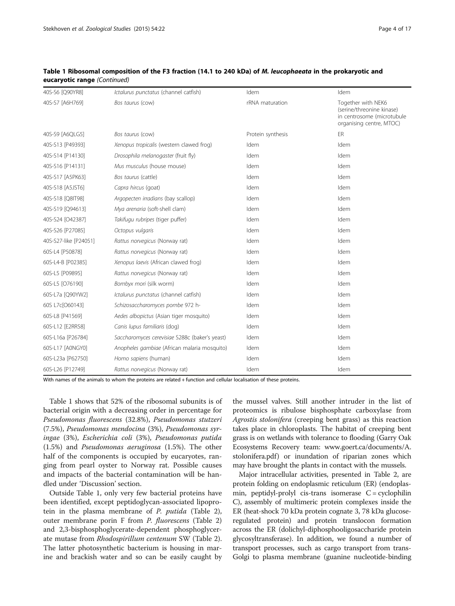| 40S-S6 [Q90YR8]       | Ictalurus punctatus (channel catfish)          | Idem              | Idem                                                                                                      |
|-----------------------|------------------------------------------------|-------------------|-----------------------------------------------------------------------------------------------------------|
| 40S-S7 [A6H769]       | Bos taurus (cow)                               | rRNA maturation   | Together with NEK6<br>(serine/threonine kinase)<br>in centrosome (microtubule<br>organising centre, MTOC) |
| 40S-S9 [A6QLG5]       | Bos taurus (cow)                               | Protein synthesis | ER                                                                                                        |
| 40S-S13 [P49393]      | Xenopus tropicalis (western clawed frog)       | Idem              | Idem                                                                                                      |
| 40S-S14 [P14130]      | Drosophila melanogaster (fruit fly)            | Idem              | Idem                                                                                                      |
| 40S-S16 [P14131]      | Mus musculus (house mouse)                     | Idem              | Idem                                                                                                      |
| 40S-S17 [A5PK63]      | Bos taurus (cattle)                            | Idem              | Idem                                                                                                      |
| 40S-S18 [A5JST6]      | Capra hircus (goat)                            | Idem              | Idem                                                                                                      |
| 40S-S18 [Q8IT98]      | Argopecten irradians (bay scallop)             | Idem              | Idem                                                                                                      |
| 40S-S19 [Q94613]      | Mya arenaria (soft-shell clam)                 | Idem              | Idem                                                                                                      |
| 40S-S24 [O42387]      | Takifugu rubripes (tiger puffer)               | Idem              | Idem                                                                                                      |
| 40S-S26 [P27085]      | Octopus vulgaris                               | Idem              | Idem                                                                                                      |
| 40S-S27-like [P24051] | Rattus norvegicus (Norway rat)                 | Idem              | Idem                                                                                                      |
| 60S-L4 [P50878]       | Rattus norvegicus (Norway rat)                 | Idem              | Idem                                                                                                      |
| 60S-L4-B [P02385]     | Xenopus laevis (African clawed frog)           | Idem              | Idem                                                                                                      |
| 60S-L5 [P09895]       | Rattus norvegicus (Norway rat)                 | Idem              | Idem                                                                                                      |
| 60S-L5 [O76190]       | Bombyx mori (silk worm)                        | Idem              | Idem                                                                                                      |
| 60S-L7a [Q90YW2]      | Ictalurus punctatus (channel catfish)          | Idem              | Idem                                                                                                      |
| 60S L7c[O60143]       | Schizosaccharomyces pombe 972 h-               | Idem              | Idem                                                                                                      |
| 60S-L8 [P41569]       | Aedes albopictus (Asian tiger mosquito)        | Idem              | Idem                                                                                                      |
| 60S-L12 [E2RR58]      | Canis lupus familiaris (dog)                   | Idem              | Idem                                                                                                      |
| 60S-L16a [P26784]     | Saccharomyces cerevisiae S288c (baker's yeast) | Idem              | Idem                                                                                                      |
| 60S-L17 [A0NGY0]      | Anopheles gambiae (African malaria mosquito)   | Idem              | Idem                                                                                                      |
| 60S-L23a [P62750]     | Homo sapiens (human)                           | Idem              | Idem                                                                                                      |
| 60S-L26 [P12749]      | Rattus norvegicus (Norway rat)                 | Idem              | Idem                                                                                                      |

## Table 1 Ribosomal composition of the F3 fraction (14.1 to 240 kDa) of M. leucophaeata in the prokaryotic and eucaryotic range (Continued)

With names of the animals to whom the proteins are related + function and cellular localisation of these proteins.

Table [1](#page-2-0) shows that 52% of the ribosomal subunits is of bacterial origin with a decreasing order in percentage for Pseudomonas fluorescens (32.8%), Pseudomonas stutzeri (7.5%), Pseudomonas mendocina (3%), Pseudomonas syringae (3%), Escherichia coli (3%), Pseudomonas putida (1.5%) and Pseudomonas aeruginosa (1.5%). The other half of the components is occupied by eucaryotes, ranging from pearl oyster to Norway rat. Possible causes and impacts of the bacterial contamination will be handled under '[Discussion](#page-11-0)' section.

Outside Table [1,](#page-2-0) only very few bacterial proteins have been identified, except peptidoglycan-associated lipoprotein in the plasma membrane of P. putida (Table [2](#page-4-0)), outer membrane porin F from P. fluorescens (Table [2](#page-4-0)) and 2,3-bisphosphoglycerate-dependent phosphoglycerate mutase from Rhodospirillum centenum SW (Table [2](#page-4-0)). The latter photosynthetic bacterium is housing in marine and brackish water and so can be easily caught by

the mussel valves. Still another intruder in the list of proteomics is ribulose bisphosphate carboxylase from Agrostis stolonifera (creeping bent grass) as this reaction takes place in chloroplasts. The habitat of creeping bent grass is on wetlands with tolerance to flooding (Garry Oak Ecosystems Recovery team: [www.goert.ca/documents/A.](http://www.goert.ca/documents/A.stolonifera.pdf) [stolonifera.pdf](http://www.goert.ca/documents/A.stolonifera.pdf)) or inundation of riparian zones which may have brought the plants in contact with the mussels.

Major intracellular activities, presented in Table [2](#page-4-0), are protein folding on endoplasmic reticulum (ER) (endoplasmin, peptidyl-prolyl cis-trans isomerase  $C =$  cyclophilin C), assembly of multimeric protein complexes inside the ER (heat-shock 70 kDa protein cognate 3, 78 kDa glucoseregulated protein) and protein translocon formation across the ER (dolichyl-diphosphooligosaccharide protein glycosyltransferase). In addition, we found a number of transport processes, such as cargo transport from trans-Golgi to plasma membrane (guanine nucleotide-binding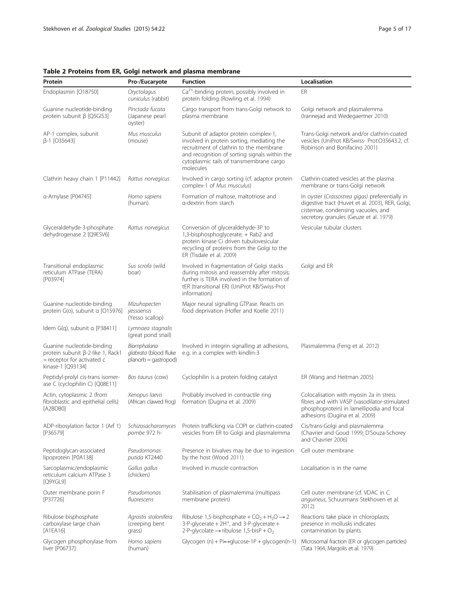| Protein                                                                                                            | Pro-/Eucaryote                                                | <b>Function</b>                                                                                                                                                                                                                          | Localisation                                                                                                                                                                         |
|--------------------------------------------------------------------------------------------------------------------|---------------------------------------------------------------|------------------------------------------------------------------------------------------------------------------------------------------------------------------------------------------------------------------------------------------|--------------------------------------------------------------------------------------------------------------------------------------------------------------------------------------|
| Endoplasmin [O18750]                                                                                               | Oryctolagus<br>cuniculus (rabbit)                             | Ca <sup>2+</sup> -binding protein, possibly involved in<br>protein folding (Rowling et al. 1994)                                                                                                                                         | ER                                                                                                                                                                                   |
| Guanine nucleotide-binding<br>protein subunit β [Q5GIS3]                                                           | Pinctada fucata<br>(Japanese pearl<br>oyster)                 | Cargo transport from trans-Golgi network to<br>plasma membrane                                                                                                                                                                           | Golgi network and plasmalemma<br>(Irannejad and Wedegaertner 2010)                                                                                                                   |
| AP-1 complex, subunit<br>β-1 [O35643]                                                                              | Mus musculus<br>(mouse)                                       | Subunit of adaptor protein complex-1,<br>involved in protein sorting, mediating the<br>recruitment of clathrin to the membrane<br>and recognition of sorting signals within the<br>cytoplasmic tails of transmembrane cargo<br>molecules | Trans-Golgi network and/or clathrin-coated<br>vesicles (UniProt KB/Swiss- Prot:O35643.2, cf.<br>Robinson and Bonifacino 2001)                                                        |
| Clathrin heavy chain 1 [P11442]                                                                                    | Rattus norvegicus                                             | Involved in cargo sorting (cf. adaptor protein<br>complex-1 of Mus musculus)                                                                                                                                                             | Clathrin-coated vesicles at the plasma<br>membrane or trans-Golgi network                                                                                                            |
| a-Amylase [P04745]                                                                                                 | Homo sapiens<br>(human)                                       | Formation of maltose, maltotriose and<br>a-dextrin from starch                                                                                                                                                                           | In oyster (Crassostrea gigas) preferentially in<br>digestive tract (Huvet et al. 2003), RER, Golgi,<br>cisternae, condensing vacuoles, and<br>secretory granules (Geuze et al. 1979) |
| Glyceraldehyde-3-phosphate<br>dehydrogenase 2 [Q9ESV6]                                                             | Rattus norvegicus                                             | Conversion of glyceraldehyde-3P to<br>1,3-bisphosphoglycerate; + Rab2 and<br>protein kinase Ci driven tubulovesicular<br>recycling of proteins from the Golgi to the<br>ER (Tisdale et al. 2009)                                         | Vesicular tubular clusters                                                                                                                                                           |
| Transitional endoplasmic<br>reticulum ATPase (TERA)<br>[P03974]                                                    | Sus scrofa (wild<br>boar)                                     | Involved in fragmentation of Golgi stacks<br>during mitosis and reassembly after mitosis;<br>further is TERA involved in the formation of<br>tER (transitional ER) (UniProt KB/Swiss-Prot<br>information)                                | Golgi and ER                                                                                                                                                                         |
| Guanine nucleotide-binding<br>protein G(o), subunit a [O15976]                                                     | Mizuhopecten<br>yessoensis<br>(Yesso scallop)                 | Major neural signalling GTPase. Reacts on<br>food deprivation (Hofler and Koelle 2011)                                                                                                                                                   |                                                                                                                                                                                      |
| Idem G(q), subunit a [P38411]                                                                                      | Lymnaea stagnalis<br>(great pond snail)                       |                                                                                                                                                                                                                                          |                                                                                                                                                                                      |
| Guanine nucleotide-binding<br>protein subunit β-2-like 1, Rack1<br>= receptor for activated c<br>kinase-1 [Q93134] | Biomphalaria<br>glabrata (blood fluke<br>planorb = gastropod) | Involved in integrin signalling at adhesions,<br>e.g. in a complex with kindlin-3                                                                                                                                                        | Plasmalemma (Feng et al. 2012)                                                                                                                                                       |
| Peptidyl-prolyl cis-trans isomer-<br>ase C (cyclophilin C) [Q08E11]                                                | Bos taurus (cow)                                              | Cyclophilin is a protein folding catalyst                                                                                                                                                                                                | ER (Wang and Heitman 2005)                                                                                                                                                           |
| Actin, cytoplasmic 2 (from<br>fibroblastic and epithelial cells)<br>[A2BDB0]                                       | Xenopus laevis<br>(African clawed frog)                       | Probably involved in contractile ring<br>formation (Dugina et al. 2009)                                                                                                                                                                  | Colocalisation with myosin 2a in stress<br>fibres and with VASP (vasodilator-stimulated<br>phosphoprotein) in lamellipodia and focal<br>adhesions (Dugina et al. 2009)               |
| ADP-ribosylation factor 1 (Arf 1)<br>[P36579]                                                                      | Schizosacharomyces<br>pombe 972 h-                            | Protein trafficking via COPI or clathrin-coated<br>vesicles from ER to Golgi and plasmalemma                                                                                                                                             | Cis/trans-Golgi and plasmalemma<br>(Chavrier and Goud 1999; D'Souza-Schorey<br>and Chavrier 2006)                                                                                    |
| Peptidoglycan-associated<br>lipoprotein [P0A138]                                                                   | Pseudomonas<br>putida KT2440                                  | Presence in bivalves may be due to ingestion<br>by the host (Wood 2011)                                                                                                                                                                  | Cell outer membrane                                                                                                                                                                  |
| Sarcoplasmic/endoplasmic<br>reticulum calcium ATPase 3<br>[Q9YGL9]                                                 | Gallus gallus<br>(chicken)                                    | Involved in muscle contraction                                                                                                                                                                                                           | Localisation is in the name                                                                                                                                                          |
| Outer membrane porin F<br>[P37726]                                                                                 | Pseudomonas<br>fluorescens                                    | Stabilisation of plasmalemma (multipass<br>membrane protein)                                                                                                                                                                             | Cell outer membrane (cf. VDAC in C.<br>anguineus, Schuurmans Stekhoven et al.<br>2012)                                                                                               |
| Ribulose bisphosphate<br>carboxylase large chain<br>$[A1EA16]$                                                     | Agrostis stolonifera<br>(creeping bent<br>grass)              | Ribulose 1,5-bisphosphate + $CO_2$ + H <sub>2</sub> O $\rightarrow$ 2<br>3-P-glycerate + 2H <sup>+</sup> , and 3-P-glycerate +<br>2-P-glycolate $\rightarrow$ ribulose 1,5-bisP + O <sub>2</sub>                                         | Reactions take place in chloroplasts;<br>presence in mollusks indicates<br>contamination by plants                                                                                   |
| Glycogen phosphorylase from<br>liver [P06737]                                                                      | Homo sapiens<br>(human)                                       | Glycogen $(n)$ + Pi $\leftrightarrow$ glucose-1P + glycogen(n-1)                                                                                                                                                                         | Microsomal fraction (ER or glycogen particles)<br>(Tata 1964, Margolis et al. 1979)                                                                                                  |

## <span id="page-4-0"></span>Table 2 Proteins from ER, Golgi network and plasma membrane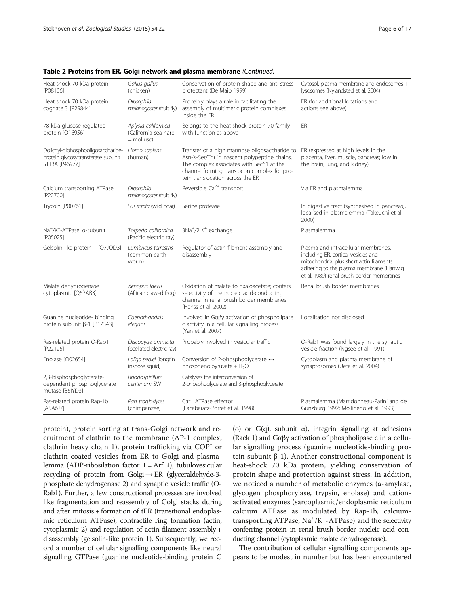| Heat shock 70 kDa protein<br>[P08106]                                                       | Gallus gallus<br>(chicken)                                   | Conservation of protein shape and anti-stress<br>protectant (De Maio 1999)                                                                                                                                                   | Cytosol, plasma membrane and endosomes +<br>lysosomes (Nylandsted et al. 2004)                                                                                                                                  |
|---------------------------------------------------------------------------------------------|--------------------------------------------------------------|------------------------------------------------------------------------------------------------------------------------------------------------------------------------------------------------------------------------------|-----------------------------------------------------------------------------------------------------------------------------------------------------------------------------------------------------------------|
| Heat shock 70 kDa protein<br>cognate 3 [P29844]                                             | Drosophila<br>melanogaster (fruit fly)                       | Probably plays a role in facilitating the<br>assembly of multimeric protein complexes<br>inside the FR                                                                                                                       | ER (for additional locations and<br>actions see above)                                                                                                                                                          |
| 78 kDa glucose-regulated<br>protein [Q16956]                                                | Aplysia californica<br>(California sea hare)<br>$=$ mollusc) | Belongs to the heat shock protein 70 family<br>with function as above                                                                                                                                                        | ER                                                                                                                                                                                                              |
| Dolichyl-diphosphooligosaccharide-<br>protein glycosyltransferase subunit<br>STT3A [P46977] | Homo sapiens<br>(human)                                      | Transfer of a high mannose oligosaccharide to<br>Asn-X-Ser/Thr in nascent polypeptide chains.<br>The complex associates with Sec61 at the<br>channel forming translocon complex for pro-<br>tein translocation across the ER | ER (expressed at high levels in the<br>placenta, liver, muscle, pancreas; low in<br>the brain, lung, and kidney)                                                                                                |
| Calcium transporting ATPase<br>[P22700]                                                     | Drosophila<br>melanogaster (fruit fly)                       | Reversible Ca <sup>2+</sup> transport                                                                                                                                                                                        | Via ER and plasmalemma                                                                                                                                                                                          |
| Trypsin [P00761]                                                                            | Sus scrofa (wild boar)                                       | Serine protease                                                                                                                                                                                                              | In digestive tract (synthesised in pancreas),<br>localised in plasmalemma (Takeuchi et al.<br>2000)                                                                                                             |
| Na <sup>+</sup> /K <sup>+</sup> -ATPase, α-subunit<br>[P05025]                              | Torpedo californica<br>(Pacific electric ray)                | 3Na <sup>+</sup> /2 K <sup>+</sup> exchange                                                                                                                                                                                  | Plasmalemma                                                                                                                                                                                                     |
| Gelsolin-like protein 1 [Q7JQD3]                                                            | Lumbricus terrestris<br>(common earth<br>worm)               | Regulator of actin filament assembly and<br>disassembly                                                                                                                                                                      | Plasma and intracellular membranes,<br>including ER, cortical vesicles and<br>mitochondria, plus short actin filaments<br>adhering to the plasma membrane (Hartwig<br>et al. 1989) renal brush border membranes |
| Malate dehydrogenase<br>cytoplasmic [Q6PAB3]                                                | Xenopus laevis<br>(African clawed frog)                      | Oxidation of malate to oxaloacetate; confers<br>selectivity of the nucleic acid-conducting<br>channel in renal brush border membranes<br>(Hanss et al. 2002)                                                                 | Renal brush border membranes                                                                                                                                                                                    |
| Guanine nucleotide- binding<br>protein subunit β-1 [P17343]                                 | Caenorhabditis<br>elegans                                    | Involved in Gaßy activation of phospholipase<br>c activity in a cellular signalling process<br>(Yan et al. 2007)                                                                                                             | Localisation not disclosed                                                                                                                                                                                      |
| Ras-related protein O-Rab1<br>[P22125]                                                      | Discopyge ommata<br>(ocellated electric ray)                 | Probably involved in vesicular traffic                                                                                                                                                                                       | O-Rab1 was found largely in the synaptic<br>vesicle fraction (Ngsee et al. 1991)                                                                                                                                |
| Enolase [O02654]                                                                            | Loligo pealei (longfin<br>inshore squid)                     | Conversion of 2-phosphoglycerate ↔<br>phosphenolpyruvate + $H_2O$                                                                                                                                                            | Cytoplasm and plasma membrane of<br>synaptosomes (Ueta et al. 2004)                                                                                                                                             |
| 2,3-bisphosphoglycerate-<br>dependent phosphoglycerate<br>mutase [B6IYD3]                   | Rhodospirillum<br>centenum SW                                | Catalyses the interconversion of<br>2-phosphoglycerate and 3-phosphoglycerate                                                                                                                                                |                                                                                                                                                                                                                 |
| Ras-related protein Rap-1b<br>[A5A6J7]                                                      | Pan troglodytes<br>(chimpanzee)                              | $Ca2+$ ATPase effector<br>(Lacabaratz-Porret et al. 1998)                                                                                                                                                                    | Plasmalemma (Marridonneau-Parini and de<br>Gunzburg 1992; Mollinedo et al. 1993)                                                                                                                                |

Table 2 Proteins from ER, Golgi network and plasma membrane (Continued)

protein), protein sorting at trans-Golgi network and recruitment of clathrin to the membrane (AP-1 complex, clathrin heavy chain 1), protein trafficking via COPI or clathrin-coated vesicles from ER to Golgi and plasmalemma (ADP-ribosilation factor  $1 = Arf 1$ ), tubulovesicular recycling of protein from Golgi $\rightarrow$  ER (glyceraldehyde-3phosphate dehydrogenase 2) and synaptic vesicle traffic (O-Rab1). Further, a few constructional processes are involved like fragmentation and reassembly of Golgi stacks during and after mitosis + formation of tER (transitional endoplasmic reticulum ATPase), contractile ring formation (actin, cytoplasmic 2) and regulation of actin filament assembly + disassembly (gelsolin-like protein 1). Subsequently, we record a number of cellular signalling components like neural signalling GTPase (guanine nucleotide-binding protein G (o) or G(q), subunit  $\alpha$ ), integrin signalling at adhesions (Rack 1) and Gαβγ activation of phospholipase c in a cellular signalling process (guanine nucleotide-binding protein subunit β-1). Another constructional component is heat-shock 70 kDa protein, yielding conservation of protein shape and protection against stress. In addition, we noticed a number of metabolic enzymes (α-amylase, glycogen phosphorylase, trypsin, enolase) and cationactivated enzymes (sarcoplasmic/endoplasmic reticulum calcium ATPase as modulated by Rap-1b, calciumtransporting ATPase, Na<sup>+</sup>/K<sup>+</sup>-ATPase) and the selectivity conferring protein in renal brush border nucleic acid conducting channel (cytoplasmic malate dehydrogenase).

The contribution of cellular signalling components appears to be modest in number but has been encountered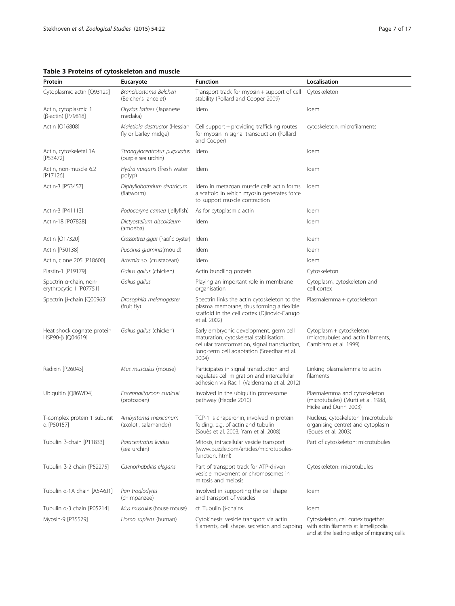## <span id="page-6-0"></span>Table 3 Proteins of cytoskeleton and muscle

| Protein                                           | Eucaryote                                             | <b>Function</b>                                                                                                                                                                           | Localisation                                                                                                             |
|---------------------------------------------------|-------------------------------------------------------|-------------------------------------------------------------------------------------------------------------------------------------------------------------------------------------------|--------------------------------------------------------------------------------------------------------------------------|
| Cytoplasmic actin [Q93129]                        | Branchiostoma Belcheri<br>(Belcher's lancelet)        | Transport track for myosin + support of cell<br>stability (Pollard and Cooper 2009)                                                                                                       | Cytoskeleton                                                                                                             |
| Actin, cytoplasmic 1<br>(β-actin) [P79818]        | Oryzias latipes (Japanese<br>medaka)                  | Idem                                                                                                                                                                                      | Idem                                                                                                                     |
| Actin [O16808]                                    | Maietiola destructor (Hessian<br>fly or barley midge) | Cell support + providing trafficking routes<br>for myosin in signal transduction (Pollard<br>and Cooper)                                                                                  | cytoskeleton, microfilaments                                                                                             |
| Actin, cytoskeletal 1A<br>[P53472]                | Strongylocentrotus purpuratus<br>(purple sea urchin)  | Idem                                                                                                                                                                                      | Idem                                                                                                                     |
| Actin, non-muscle 6.2<br>[P17126]                 | Hydra vulgaris (fresh water<br>polyp)                 | Idem                                                                                                                                                                                      | Idem                                                                                                                     |
| Actin-3 [P53457]                                  | Diphyllobothrium dentricum<br>(flatworm)              | Idem in metazoan muscle cells actin forms<br>a scaffold in which myosin generates force<br>to support muscle contraction                                                                  | Idem                                                                                                                     |
| Actin-3 [P41113]                                  | Podocoryne carnea (jellyfish)                         | As for cytoplasmic actin                                                                                                                                                                  | Idem                                                                                                                     |
| Actin-18 [P07828]                                 | Dictyostelium discoideum<br>(amoeba)                  | Idem                                                                                                                                                                                      | Idem                                                                                                                     |
| Actin [017320]                                    | Crassostrea gigas (Pacific oyster)                    | Idem                                                                                                                                                                                      | Idem                                                                                                                     |
| Actin [P50138]                                    | Puccinia graminis(mould)                              | Idem                                                                                                                                                                                      | Idem                                                                                                                     |
| Actin, clone 205 [P18600]                         | Artemia sp. (crustacean)                              | Idem                                                                                                                                                                                      | Idem                                                                                                                     |
| Plastin-1 [P19179]                                | Gallus gallus (chicken)                               | Actin bundling protein                                                                                                                                                                    | Cytoskeleton                                                                                                             |
| Spectrin a-chain, non-<br>erythrocytic 1 [P07751] | Gallus gallus                                         | Playing an important role in membrane<br>organisation                                                                                                                                     | Cytoplasm, cytoskeleton and<br>cell cortex                                                                               |
| Spectrin β-chain [Q00963]                         | Drosophila melanogaster<br>(fruit fly)                | Spectrin links the actin cytoskeleton to the<br>plasma membrane, thus forming a flexible<br>scaffold in the cell cortex (Djinovic-Carugo<br>et al. 2002)                                  | Plasmalemma + cytoskeleton                                                                                               |
| Heat shock cognate protein<br>HSP90-β [Q04619]    | Gallus gallus (chicken)                               | Early embryonic development, germ cell<br>maturation, cytoskeletal stabilisation,<br>cellular transformation, signal transduction,<br>long-term cell adaptation (Sreedhar et al.<br>2004) | Cytoplasm + cytoskeleton<br>(microtubules and actin filaments,<br>Cambiazo et al. 1999)                                  |
| Radixin [P26043]                                  | Mus musculus (mouse)                                  | Participates in signal transduction and<br>regulates cell migration and intercellular<br>adhesion via Rac 1 (Valderrama et al. 2012)                                                      | Linking plasmalemma to actin<br>filaments                                                                                |
| Ubiquitin [Q86WD4]                                | Encephalitozoon cuniculi<br>(protozoan)               | Involved in the ubiquitin proteasome<br>pathway (Hegde 2010)                                                                                                                              | Plasmalemma and cytoskeleton<br>(microtubules) (Murti et al. 1988,<br>Hicke and Dunn 2003)                               |
| T-complex protein 1 subunit<br>a [P50157]         | Ambystoma mexicanum<br>(axolotl, salamander)          | TCP-1 is chaperonin, involved in protein<br>folding, e.g. of actin and tubulin<br>(Souès et al. 2003; Yam et al. 2008)                                                                    | Nucleus, cytoskeleton (microtubule<br>organising centre) and cytoplasm<br>(Souès et al. 2003)                            |
| Tubulin β-chain [P11833]                          | Paracentrotus lividus<br>(sea urchin)                 | Mitosis, intracellular vesicle transport<br>(www.buzzle.com/articles/microtubules-<br>function. html)                                                                                     | Part of cytoskeleton: microtubules                                                                                       |
| Tubulin β-2 chain [P52275]                        | Caenorhabditis elegans                                | Part of transport track for ATP-driven<br>vesicle movement or chromosomes in<br>mitosis and mejosis                                                                                       | Cytoskeleton: microtubules                                                                                               |
| Tubulin α-1A chain [A5A6J1]                       | Pan troglodytes<br>(chimpanzee)                       | Involved in supporting the cell shape<br>and transport of vesicles                                                                                                                        | Idem                                                                                                                     |
| Tubulin α-3 chain [P05214]                        | Mus musculus (house mouse)                            | $cf.$ Tubulin $\beta$ -chains                                                                                                                                                             | Idem                                                                                                                     |
| Myosin-9 [P35579]                                 | Homo sapiens (human)                                  | Cytokinesis: vesicle transport via actin<br>filaments, cell shape, secretion and capping                                                                                                  | Cytoskeleton, cell cortex together<br>with actin filaments at lamellipodia<br>and at the leading edge of migrating cells |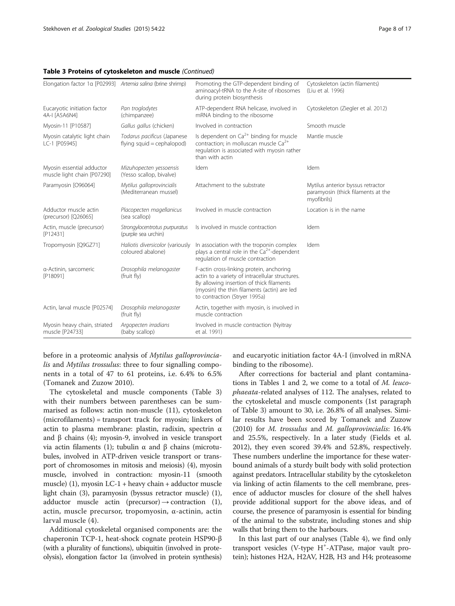#### Table 3 Proteins of cytoskeleton and muscle (Continued)

| Elongation factor 1a [P02993] Artemia salina (brine shrimp) |                                                           | Promoting the GTP-dependent binding of<br>aminoacyl-tRNA to the A-site of ribosomes<br>during protein biosynthesis                                                                                                      | Cytoskeleton (actin filaments)<br>(Liu et al. 1996)                                    |
|-------------------------------------------------------------|-----------------------------------------------------------|-------------------------------------------------------------------------------------------------------------------------------------------------------------------------------------------------------------------------|----------------------------------------------------------------------------------------|
| Eucaryotic initiation factor<br>4A-I [A5A6N4]               | Pan troglodytes<br>(chimpanzee)                           | ATP-dependent RNA helicase, involved in<br>mRNA binding to the ribosome                                                                                                                                                 | Cytoskeleton (Ziegler et al. 2012)                                                     |
| Myosin-11 [P10587]                                          | Gallus gallus (chicken)                                   | Involved in contraction                                                                                                                                                                                                 | Smooth muscle                                                                          |
| Myosin catalytic light chain<br>LC-1 [P05945]               | Todarus pacificus (Japanese<br>flying squid = cephalopod) | Is dependent on $Ca^{2+}$ binding for muscle<br>contraction; in molluscan muscle Ca <sup>2+</sup><br>regulation is associated with myosin rather<br>than with actin                                                     | Mantle muscle                                                                          |
| Myosin essential adductor<br>muscle light chain [P07290]    | Mizuhopecten yessoensis<br>(Yesso scallop, bivalve)       | Idem                                                                                                                                                                                                                    | Idem                                                                                   |
| Paramyosin [O96064]                                         | Mytilus galloprovincialis<br>(Mediterranean mussel)       | Attachment to the substrate                                                                                                                                                                                             | Mytilus anterior byssus retractor<br>paramyosin (thick filaments at the<br>myofibrils) |
| Adductor muscle actin<br>(precursor) [Q26065]               | Placopecten magellanicus<br>(sea scallop)                 | Involved in muscle contraction                                                                                                                                                                                          | Location is in the name                                                                |
| Actin, muscle (precursor)<br>[P12431]                       | Strongylocentrotus purpuratus<br>(purple sea urchin)      | Is involved in muscle contraction                                                                                                                                                                                       | Idem                                                                                   |
| Tropomyosin [Q9GZ71]                                        | Haliotis diversicolor (variously<br>coloured abalone)     | In association with the troponin complex<br>plays a central role in the Ca <sup>2+</sup> -dependent<br>regulation of muscle contraction                                                                                 | Idem                                                                                   |
| a-Actinin, sarcomeric<br>[P18091]                           | Drosophila melanogaster<br>(fruit fly)                    | F-actin cross-linking protein, anchoring<br>actin to a variety of intracellular structures.<br>By allowing insertion of thick filaments<br>(myosin) the thin filaments (actin) are led<br>to contraction (Stryer 1995a) |                                                                                        |
| Actin, larval muscle [P02574]                               | Drosophila melanogaster<br>(fruit fly)                    | Actin, together with myosin, is involved in<br>muscle contraction                                                                                                                                                       |                                                                                        |
| Myosin heavy chain, striated<br>muscle [P24733]             | Argopecten irradians<br>(baby scallop)                    | Involved in muscle contraction (Nyitray<br>et al. 1991)                                                                                                                                                                 |                                                                                        |

before in a proteomic analysis of Mytilus galloprovincialis and Mytilus trossulus: three to four signalling components in a total of 47 to 61 proteins, i.e. 6.4% to 6.5% (Tomanek and Zuzow [2010](#page-15-0)).

The cytoskeletal and muscle components (Table [3](#page-6-0)) with their numbers between parentheses can be summarised as follows: actin non-muscle (11), cytoskeleton (microfilaments) = transport track for myosin; linkers of actin to plasma membrane: plastin, radixin, spectrin α and  $β$  chains (4); myosin-9, involved in vesicle transport via actin filaments (1); tubulin α and β chains (microtubules, involved in ATP-driven vesicle transport or transport of chromosomes in mitosis and meiosis) (4), myosin muscle, involved in contraction: myosin-11 (smooth muscle) (1), myosin LC-1 + heavy chain + adductor muscle light chain (3), paramyosin (byssus retractor muscle) (1), adductor muscle actin (precursor)  $\rightarrow$  contraction (1), actin, muscle precursor, tropomyosin, α-actinin, actin larval muscle (4).

Additional cytoskeletal organised components are: the chaperonin TCP-1, heat-shock cognate protein HSP90-β (with a plurality of functions), ubiquitin (involved in proteolysis), elongation factor 1α (involved in protein synthesis)

and eucaryotic initiation factor 4A-I (involved in mRNA binding to the ribosome).

After corrections for bacterial and plant contaminations in Tables [1](#page-2-0) and [2,](#page-4-0) we come to a total of M. leucophaeata-related analyses of 112. The analyses, related to the cytoskeletal and muscle components (1st paragraph of Table [3\)](#page-6-0) amount to 30, i.e. 26.8% of all analyses. Similar results have been scored by Tomanek and Zuzow ([2010\)](#page-15-0) for M. trossulus and M. galloprovincialis: 16.4% and 25.5%, respectively. In a later study (Fields et al. [2012](#page-14-0)), they even scored 39.4% and 52.8%, respectively. These numbers underline the importance for these waterbound animals of a sturdy built body with solid protection against predators. Intracellular stability by the cytoskeleton via linking of actin filaments to the cell membrane, presence of adductor muscles for closure of the shell halves provide additional support for the above ideas, and of course, the presence of paramyosin is essential for binding of the animal to the substrate, including stones and ship walls that bring them to the harbours.

In this last part of our analyses (Table [4\)](#page-8-0), we find only transport vesicles (V-type H<sup>+</sup>-ATPase, major vault protein); histones H2A, H2AV, H2B, H3 and H4; proteasome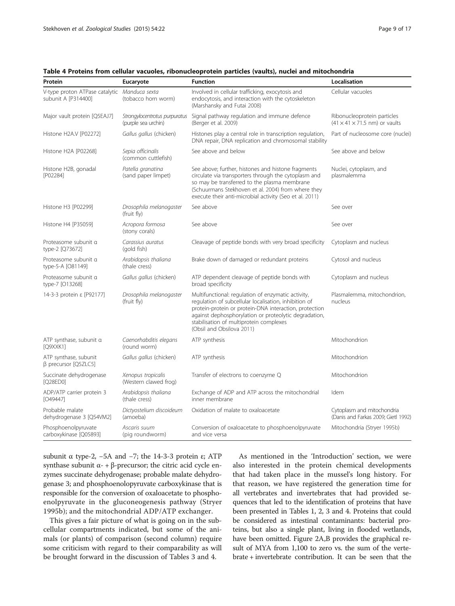| Protein                                                             | Eucaryote                                            | <b>Function</b>                                                                                                                                                                                                                                                                                        | Localisation                                                             |
|---------------------------------------------------------------------|------------------------------------------------------|--------------------------------------------------------------------------------------------------------------------------------------------------------------------------------------------------------------------------------------------------------------------------------------------------------|--------------------------------------------------------------------------|
| V-type proton ATPase catalytic Manduca sexta<br>subunit A [P314400] | (tobacco horn worm)                                  | Involved in cellular trafficking, exocytosis and<br>endocytosis, and interaction with the cytoskeleton<br>(Marshansky and Futai 2008)                                                                                                                                                                  | Cellular vacuoles                                                        |
| Major vault protein [Q5EAJ7]                                        | Strongylocentrotus purpuratus<br>(purple sea urchin) | Signal pathway regulation and immune defence<br>(Berger et al. 2009)                                                                                                                                                                                                                                   | Ribonucleoprotein particles<br>$(41 \times 41 \times 71.5$ nm) or vaults |
| Histone H2A.V [P02272]                                              | Gallus gallus (chicken)                              | Histones play a central role in transcription regulation,<br>DNA repair, DNA replication and chromosomal stability                                                                                                                                                                                     | Part of nucleosome core (nuclei)                                         |
| Histone H2A [P02268]                                                | Sepia officinalis<br>(common cuttlefish)             | See above and below                                                                                                                                                                                                                                                                                    | See above and below                                                      |
| Histone H2B, gonadal<br>[P02284]                                    | Patella granatina<br>(sand paper limpet)             | See above; further, histones and histone fragments<br>circulate via transporters through the cytoplasm and<br>so may be transferred to the plasma membrane<br>(Schuurmans Stekhoven et al. 2004) from where they<br>execute their anti-microbial activity (Seo et al. 2011)                            | Nuclei, cytoplasm, and<br>plasmalemma                                    |
| Histone H3 [P02299]                                                 | Drosophila melanogaster<br>(fruit fly)               | See above                                                                                                                                                                                                                                                                                              | See over                                                                 |
| Histone H4 [P35059]                                                 | Acropora formosa<br>(stony corals)                   | See above                                                                                                                                                                                                                                                                                              | See over                                                                 |
| Proteasome subunit a<br>type-2 [Q73672]                             | Carassius auratus<br>(gold fish)                     | Cleavage of peptide bonds with very broad specificity                                                                                                                                                                                                                                                  | Cytoplasm and nucleus                                                    |
| Proteasome subunit a<br>type-5-A [O81149]                           | Arabidopsis thaliana<br>(thale cress)                | Brake down of damaged or redundant proteins                                                                                                                                                                                                                                                            | Cytosol and nucleus                                                      |
| Proteasome subunit a<br>type-7 [013268]                             | Gallus gallus (chicken)                              | ATP dependent cleavage of peptide bonds with<br>broad specificity                                                                                                                                                                                                                                      | Cytoplasm and nucleus                                                    |
| 14-3-3 protein ε [P92177]                                           | Drosophila melanogaster<br>(fruit fly)               | Multifunctional: regulation of enzymatic activity,<br>regulation of subcellular localisation, inhibition of<br>protein-protein or protein-DNA interaction, protection<br>against dephosphorylation or proteolytic degradation,<br>stabilisation of multiprotein complexes<br>(Obsil and Obsilova 2011) | Plasmalemma, mitochondrion,<br>nucleus                                   |
| ATP synthase, subunit a<br>[Q9XXK1]                                 | Caenorhabditis elegans<br>(round worm)               | ATP synthesis                                                                                                                                                                                                                                                                                          | Mitochondrion                                                            |
| ATP synthase, subunit<br>$\beta$ precursor [Q5ZLC5]                 | Gallus gallus (chicken)                              | ATP synthesis                                                                                                                                                                                                                                                                                          | Mitochondrion                                                            |
| Succinate dehydrogenase<br>[Q28ED0]                                 | Xenopus tropicalis<br>(Western clawed frog)          | Transfer of electrons to coenzyme Q                                                                                                                                                                                                                                                                    | Mitochondrion                                                            |
| ADP/ATP carrier protein 3<br>[O49447]                               | Arabidopsis thaliana<br>(thale cress)                | Exchange of ADP and ATP across the mitochondrial<br>inner membrane                                                                                                                                                                                                                                     | Idem                                                                     |
| Probable malate<br>dehydrogenase 3 [Q54VM2]                         | Dictyostelium discoideum<br>(amoeba)                 | Oxidation of malate to oxaloacetate                                                                                                                                                                                                                                                                    | Cytoplasm and mitochondria<br>(Danis and Farkas 2009; Gietl 1992)        |
| Phosphoenolpyruvate<br>carboxykinase [Q05893]                       | Ascaris suum<br>(pig roundworm)                      | Conversion of oxaloacetate to phosphoenolpyruvate<br>and vice versa                                                                                                                                                                                                                                    | Mitochondria (Stryer 1995b)                                              |

<span id="page-8-0"></span>Table 4 Proteins from cellular vacuoles, ribonucleoprotein particles (vaults), nuclei and mitochondria

subunit α type-2, -5A and -7; the 14-3-3 protein  $ε$ ; ATP synthase subunit  $\alpha$ - + β-precursor; the citric acid cycle enzymes succinate dehydrogenase; probable malate dehydrogenase 3; and phosphoenolopyruvate carboxykinase that is responsible for the conversion of oxaloacetate to phosphoenolpyruvate in the gluconeogenesis pathway (Stryer [1995b](#page-15-0)); and the mitochondrial ADP/ATP exchanger.

This gives a fair picture of what is going on in the subcellular compartments indicated, but some of the animals (or plants) of comparison (second column) require some criticism with regard to their comparability as will be brought forward in the discussion of Tables [3](#page-6-0) and 4.

As mentioned in the 'Introduction' section, we were also interested in the protein chemical developments that had taken place in the mussel's long history. For that reason, we have registered the generation time for all vertebrates and invertebrates that had provided sequences that led to the identification of proteins that have been presented in Tables [1,](#page-2-0) [2,](#page-4-0) [3](#page-6-0) and 4. Proteins that could be considered as intestinal contaminants: bacterial proteins, but also a single plant, living in flooded wetlands, have been omitted. Figure [2](#page-9-0)A,B provides the graphical result of MYA from 1,100 to zero vs. the sum of the vertebrate + invertebrate contribution. It can be seen that the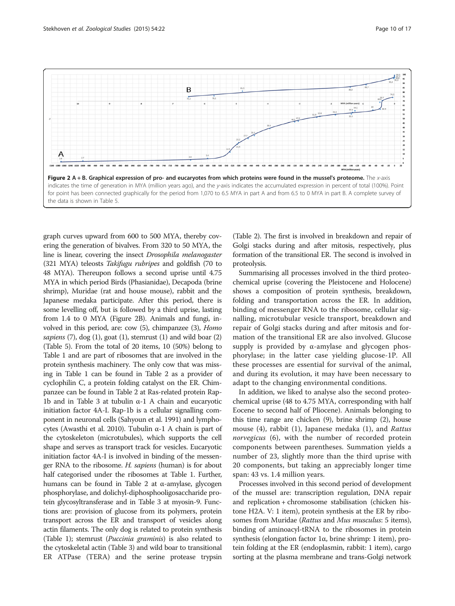<span id="page-9-0"></span>

graph curves upward from 600 to 500 MYA, thereby covering the generation of bivalves. From 320 to 50 MYA, the line is linear, covering the insect Drosophila melanogaster (321 MYA) teleosts Takifugu rubripes and goldfish (70 to 48 MYA). Thereupon follows a second uprise until 4.75 MYA in which period Birds (Phasianidae), Decapoda (brine shrimp), Muridae (rat and house mouse), rabbit and the Japanese medaka participate. After this period, there is some levelling off, but is followed by a third uprise, lasting from 1.4 to 0 MYA (Figure 2B). Animals and fungi, involved in this period, are: cow (5), chimpanzee (3), Homo sapiens  $(7)$ , dog  $(1)$ , goat  $(1)$ , stemrust  $(1)$  and wild boar  $(2)$ (Table [5\)](#page-10-0). From the total of 20 items, 10 (50%) belong to Table [1](#page-2-0) and are part of ribosomes that are involved in the protein synthesis machinery. The only cow that was missing in Table [1](#page-2-0) can be found in Table [2](#page-4-0) as a provider of cyclophilin C, a protein folding catalyst on the ER. Chimpanzee can be found in Table [2](#page-4-0) at Ras-related protein Rap-1b and in Table [3](#page-6-0) at tubulin α-1 A chain and eucaryotic initiation factor 4A-I. Rap-1b is a cellular signalling component in neuronal cells (Sahyoun et al. [1991](#page-15-0)) and lymphocytes (Awasthi et al. [2010](#page-14-0)). Tubulin α-1 A chain is part of the cytoskeleton (microtubules), which supports the cell shape and serves as transport track for vesicles. Eucaryotic initiation factor 4A-I is involved in binding of the messenger RNA to the ribosome. H. sapiens (human) is for about half categorised under the ribosomes at Table [1](#page-2-0). Further, humans can be found in Table [2](#page-4-0) at  $\alpha$ -amylase, glycogen phosphorylase, and dolichyl-diphosphooligosaccharide protein glycosyltransferase and in Table [3](#page-6-0) at myosin-9. Functions are: provision of glucose from its polymers, protein transport across the ER and transport of vesicles along actin filaments. The only dog is related to protein synthesis (Table [1](#page-2-0)); stemrust (Puccinia graminis) is also related to the cytoskeletal actin (Table [3](#page-6-0)) and wild boar to transitional ER ATPase (TERA) and the serine protease trypsin (Table [2](#page-4-0)). The first is involved in breakdown and repair of Golgi stacks during and after mitosis, respectively, plus formation of the transitional ER. The second is involved in proteolysis.

Summarising all processes involved in the third proteochemical uprise (covering the Pleistocene and Holocene) shows a composition of protein synthesis, breakdown, folding and transportation across the ER. In addition, binding of messenger RNA to the ribosome, cellular signalling, microtubular vesicle transport, breakdown and repair of Golgi stacks during and after mitosis and formation of the transitional ER are also involved. Glucose supply is provided by  $\alpha$ -amylase and glycogen phosphorylase; in the latter case yielding glucose-1P. All these processes are essential for survival of the animal, and during its evolution, it may have been necessary to adapt to the changing environmental conditions.

In addition, we liked to analyse also the second proteochemical uprise (48 to 4.75 MYA, corresponding with half Eocene to second half of Pliocene). Animals belonging to this time range are chicken (9), brine shrimp (2), house mouse (4), rabbit (1), Japanese medaka (1), and Rattus norvegicus (6), with the number of recorded protein components between parentheses. Summation yields a number of 23, slightly more than the third uprise with 20 components, but taking an appreciably longer time span: 43 vs. 1.4 million years.

Processes involved in this second period of development of the mussel are: transcription regulation, DNA repair and replication + chromosome stabilisation (chicken histone H2A. V: 1 item), protein synthesis at the ER by ribosomes from Muridae (Rattus and Mus musculus: 5 items), binding of aminoacyl-tRNA to the ribosomes in protein synthesis (elongation factor 1α, brine shrimp: 1 item), protein folding at the ER (endoplasmin, rabbit: 1 item), cargo sorting at the plasma membrane and trans-Golgi network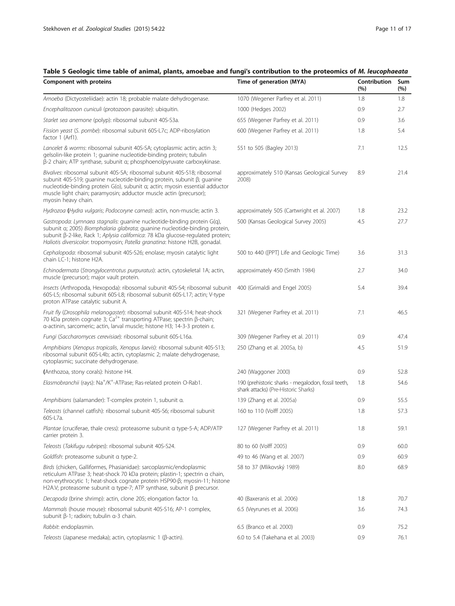## <span id="page-10-0"></span>Table 5 Geologic time table of animal, plants, amoebae and fungi's contribution to the proteomics of M. leucophaeata

| Component with proteins                                                                                                                                                                                                                                                                                                          | Time of generation (MYA)                                                                   | Contribution<br>(%) | Sum<br>(%) |
|----------------------------------------------------------------------------------------------------------------------------------------------------------------------------------------------------------------------------------------------------------------------------------------------------------------------------------|--------------------------------------------------------------------------------------------|---------------------|------------|
| Amoeba (Dictyosteliidae): actin 18; probable malate dehydrogenase.                                                                                                                                                                                                                                                               | 1070 (Wegener Parfrey et al. 2011)                                                         | 1.8                 | 1.8        |
| Encephalitozoon cuniculi (protozoon parasite): ubiquitin.                                                                                                                                                                                                                                                                        | 1000 (Hedges 2002)                                                                         | 0.9                 | 2.7        |
| Starlet sea anemone (polyp): ribosomal subunit 40S-S3a.                                                                                                                                                                                                                                                                          | 655 (Wegener Parfrey et al. 2011)                                                          | 0.9                 | 3.6        |
| Fission yeast (S. pombe): ribosomal subunit 60S-L7c; ADP-ribosylation<br>factor 1 (Arf1).                                                                                                                                                                                                                                        | 600 (Wegener Parfrey et al. 2011)                                                          | 1.8                 | 5.4        |
| Lancelet & worms: ribosomal subunit 40S-SA; cytoplasmic actin; actin 3;<br>gelsolin-like protein 1; guanine nucleotide-binding protein; tubulin<br>β-2 chain; ATP synthase, subunit α; phosphoenolpyruvate carboxykinase.                                                                                                        | 551 to 505 (Bagley 2013)                                                                   | 7.1                 | 12.5       |
| Bivalves: ribosomal subunit 40S-SA; ribosomal subunit 40S-S18; ribosomal<br>subunit 40S-S19; quanine nucleotide-binding protein, subunit β; quanine<br>nucleotide-binding protein G(o), subunit a; actin; myosin essential adductor<br>muscle light chain; paramyosin; adductor muscle actin (precursor);<br>myosin heavy chain. | approximately 510 (Kansas Geological Survey<br>2008)                                       | 8.9                 | 21.4       |
| Hydrozoa (Hydra vulgaris; Podocoryne carnea): actin, non-muscle; actin 3.                                                                                                                                                                                                                                                        | approximately 505 (Cartwright et al. 2007)                                                 | 1.8                 | 23.2       |
| Gastropoda: Lymnaea stagnalis: quanine nucleotide-binding protein G(q),<br>subunit a; 2005) Biomphalaria glabrata; guanine nucleotide-binding protein,<br>subunit β-2-like, Rack 1; Aplysia californica: 78 kDa glucose-regulated protein;<br>Haliotis diversicolor: tropomyosin; Patella granatina: histone H2B, gonadal.       | 500 (Kansas Geological Survey 2005)                                                        | 4.5                 | 27.7       |
| Cephalopoda: ribosomal subunit 40S-S26; enolase; myosin catalytic light<br>chain LC-1; histone H2A.                                                                                                                                                                                                                              | 500 to 440 ([PPT] Life and Geologic Time)                                                  | 3.6                 | 31.3       |
| Echinodermata (Strongylocentrotus purpuratus): actin, cytoskeletal 1A; actin,<br>muscle (precursor); major vault protein.                                                                                                                                                                                                        | approximately 450 (Smith 1984)                                                             | 2.7                 | 34.0       |
| Insects (Arthropoda, Hexopoda): ribosomal subunit 40S-S4; ribosomal subunit<br>60S-L5; ribosomal subunit 60S-L8; ribosomal subunit 60S-L17; actin; V-type<br>proton ATPase catalytic subunit A.                                                                                                                                  | 400 (Grimaldi and Engel 2005)                                                              | 5.4                 | 39.4       |
| Fruit fly (Drosophila melanogaster): ribosomal subunit 40S-S14; heat-shock<br>70 kDa protein cognate 3; $Ca2+$ transporting ATPase; spectrin β-chain;<br>a-actinin, sarcomeric; actin, larval muscle; histone H3; 14-3-3 protein $\varepsilon$ .                                                                                 | 321 (Wegener Parfrey et al. 2011)                                                          | 7.1                 | 46.5       |
| Fungi (Saccharomyces cerevisiae): ribosomal subunit 60S-L16a.                                                                                                                                                                                                                                                                    | 309 (Wegener Parfrey et al. 2011)                                                          | 0.9                 | 47.4       |
| Amphibians (Xenopus tropicalis, Xenopus laevis): ribosomal subunit 40S-S13;<br>ribosomal subunit 60S-L4b; actin, cytoplasmic 2; malate dehydrogenase,<br>cytoplasmic; succinate dehydrogenase.                                                                                                                                   | 250 (Zhang et al. 2005a, b)                                                                | 4.5                 | 51.9       |
| (Anthozoa, stony corals): histone H4.                                                                                                                                                                                                                                                                                            | 240 (Waggoner 2000)                                                                        | 0.9                 | 52.8       |
| Elasmobranchii (rays): Na <sup>+</sup> /K <sup>+</sup> -ATPase; Ras-related protein O-Rab1.                                                                                                                                                                                                                                      | 190 (prehistoric sharks - megalodon, fossil teeth,<br>shark attacks) (Pre-Historic Sharks) | 1.8                 | 54.6       |
| Amphibians (salamander): T-complex protein 1, subunit a.                                                                                                                                                                                                                                                                         | 139 (Zhang et al. 2005a)                                                                   | 0.9                 | 55.5       |
| Teleosts (channel catfish): ribosomal subunit 40S-S6; ribosomal subunit<br>60S-L7a.                                                                                                                                                                                                                                              | 160 to 110 (Volff 2005)                                                                    | 1.8                 | 57.3       |
| Plantae (cruciferae, thale cress): proteasome subunit a type-5-A; ADP/ATP<br>carrier protein 3.                                                                                                                                                                                                                                  | 127 (Wegener Parfrey et al. 2011)                                                          | 1.8                 | 59.1       |
| Teleosts (Takifugu rubripes): ribosomal subunit 40S-S24.                                                                                                                                                                                                                                                                         | 80 to 60 (Volff 2005)                                                                      | 0.9                 | 60.0       |
| Goldfish: proteasome subunit a type-2.                                                                                                                                                                                                                                                                                           | 49 to 46 (Wang et al. 2007)                                                                | 0.9                 | 60.9       |
| Birds (chicken, Galliformes, Phasianidae): sarcoplasmic/endoplasmic<br>reticulum ATPase 3; heat-shock 70 kDa protein; plastin-1; spectrin a chain,<br>non-erythrocytic 1; heat-shock cognate protein HSP90-ß; myosin-11; histone<br>H2A.V; proteasome subunit a type-7; ATP synthase, subunit $\beta$ precursor.                 | 58 to 37 (Mlikovský 1989)                                                                  | 8.0                 | 68.9       |
| Decapoda (brine shrimp): actin, clone 205; elongation factor 1a.                                                                                                                                                                                                                                                                 | 40 (Baxeranis et al. 2006)                                                                 | 1.8                 | 70.7       |
| Mammals (house mouse): ribosomal subunit 40S-S16; AP-1 complex,<br>subunit β-1; radixin; tubulin α-3 chain.                                                                                                                                                                                                                      | 6.5 (Veyrunes et al. 2006)                                                                 | 3.6                 | 74.3       |
| Rabbit: endoplasmin.                                                                                                                                                                                                                                                                                                             | 6.5 (Branco et al. 2000)                                                                   | 0.9                 | 75.2       |
| Teleosts (Japanese medaka); actin, cytoplasmic 1 (β-actin).                                                                                                                                                                                                                                                                      | 6.0 to 5.4 (Takehana et al. 2003)                                                          | 0.9                 | 76.1       |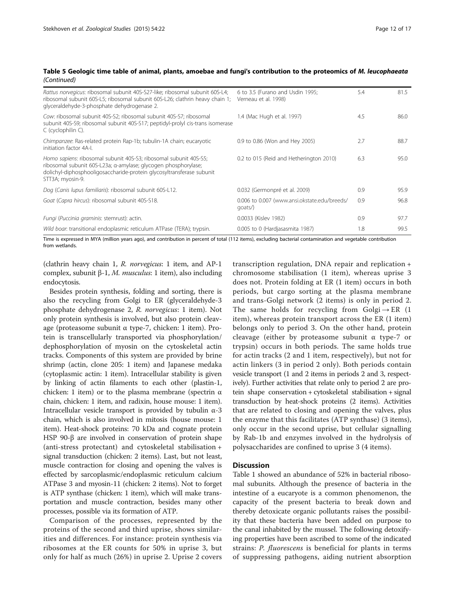<span id="page-11-0"></span>

| Table 5 Geologic time table of animal, plants, amoebae and fungi's contribution to the proteomics of M. leucophaeata |  |  |
|----------------------------------------------------------------------------------------------------------------------|--|--|
| (Continued)                                                                                                          |  |  |

| Rattus norvegicus: ribosomal subunit 40S-S27-like; ribosomal subunit 60S-L4;<br>ribosomal subunit 60S-L5; ribosomal subunit 60S-L26; clathrin heavy chain 1;<br>glyceraldehyde-3-phosphate dehydrogenase 2.                      | 6 to 3.5 (Furano and Usdin 1995;<br>Verneau et al. 1998)         | 5.4 | 81.5 |
|----------------------------------------------------------------------------------------------------------------------------------------------------------------------------------------------------------------------------------|------------------------------------------------------------------|-----|------|
| Cow: ribosomal subunit 40S-S2; ribosomal subunit 40S-S7; ribosomal<br>subunit 40S-S9; ribosomal subunit 40S-S17; peptidyl-prolyl cis-trans isomerase<br>C (cyclophilin C).                                                       | 1.4 (Mac Hugh et al. 1997)                                       | 4.5 | 86.0 |
| Chimpanzee: Ras-related protein Rap-1b; tubulin-1A chain; eucaryotic<br>initiation factor 4A-L                                                                                                                                   | 0.9 to 0.86 (Won and Hey 2005)                                   | 2.7 | 88.7 |
| Homo sapiens: ribosomal subunit 40S-S3; ribosomal subunit 40S-S5;<br>ribosomal subunit 60S-L23a; a-amylase; glycogen phosphorylase;<br>dolichyl-diphosphooligosaccharide-protein glycosyltransferase subunit<br>STT3A; myosin-9. | 0.2 to 015 (Reid and Hetherington 2010)                          | 6.3 | 95.0 |
| Dog (Canis lupus familiaris): ribosomal subunit 60S-L12.                                                                                                                                                                         | 0.032 (Germonpré et al. 2009)                                    | 0.9 | 95.9 |
| Goat (Capra hircus): ribosomal subunit 40S-S18.                                                                                                                                                                                  | 0.006 to 0.007 (www.ansi.okstate.edu/breeds/<br>$q$ oats $\land$ | 0.9 | 96.8 |
| Fungi (Puccinia graminis: stemrust): actin.                                                                                                                                                                                      | 0.0033 (Kislev 1982)                                             | 0.9 | 97.7 |
| Wild boar: transitional endoplasmic reticulum ATPase (TERA); trypsin.                                                                                                                                                            | 0.005 to 0 (Hardiasasmita 1987)                                  | 1.8 | 99.5 |

Time is expressed in MYA (million years ago), and contribution in percent of total (112 items), excluding bacterial contamination and vegetable contribution from wetlands.

(clathrin heavy chain 1, R. norvegicus: 1 item, and AP-1 complex, subunit β-1, *M. musculus*: 1 item), also including endocytosis.

Besides protein synthesis, folding and sorting, there is also the recycling from Golgi to ER (glyceraldehyde-3 phosphate dehydrogenase 2, R. norvegicus: 1 item). Not only protein synthesis is involved, but also protein cleavage (proteasome subunit α type-7, chicken: 1 item). Protein is transcellularly transported via phosphorylation/ dephosphorylation of myosin on the cytoskeletal actin tracks. Components of this system are provided by brine shrimp (actin, clone 205: 1 item) and Japanese medaka (cytoplasmic actin: 1 item). Intracellular stability is given by linking of actin filaments to each other (plastin-1, chicken: 1 item) or to the plasma membrane (spectrin  $\alpha$ chain, chicken: 1 item, and radixin, house mouse: 1 item). Intracellular vesicle transport is provided by tubulin α-3 chain, which is also involved in mitosis (house mouse: 1 item). Heat-shock proteins: 70 kDa and cognate protein HSP 90-β are involved in conservation of protein shape (anti-stress protectant) and cytoskeletal stabilisation + signal transduction (chicken: 2 items). Last, but not least, muscle contraction for closing and opening the valves is effected by sarcoplasmic/endoplasmic reticulum calcium ATPase 3 and myosin-11 (chicken: 2 items). Not to forget is ATP synthase (chicken: 1 item), which will make transportation and muscle contraction, besides many other processes, possible via its formation of ATP.

Comparison of the processes, represented by the proteins of the second and third uprise, shows similarities and differences. For instance: protein synthesis via ribosomes at the ER counts for 50% in uprise 3, but only for half as much (26%) in uprise 2. Uprise 2 covers

transcription regulation, DNA repair and replication + chromosome stabilisation (1 item), whereas uprise 3 does not. Protein folding at ER (1 item) occurs in both periods, but cargo sorting at the plasma membrane and trans-Golgi network (2 items) is only in period 2. The same holds for recycling from Golgi $\rightarrow$  ER (1 item), whereas protein transport across the ER (1 item) belongs only to period 3. On the other hand, protein cleavage (either by proteasome subunit α type-7 or trypsin) occurs in both periods. The same holds true for actin tracks (2 and 1 item, respectively), but not for actin linkers (3 in period 2 only). Both periods contain vesicle transport (1 and 2 items in periods 2 and 3, respectively). Further activities that relate only to period 2 are protein shape conservation + cytoskeletal stabilisation + signal transduction by heat-shock proteins (2 items). Activities that are related to closing and opening the valves, plus the enzyme that this facilitates (ATP synthase) (3 items), only occur in the second uprise, but cellular signalling by Rab-1b and enzymes involved in the hydrolysis of polysaccharides are confined to uprise 3 (4 items).

### **Discussion**

Table [1](#page-2-0) showed an abundance of 52% in bacterial ribosomal subunits. Although the presence of bacteria in the intestine of a eucaryote is a common phenomenon, the capacity of the present bacteria to break down and thereby detoxicate organic pollutants raises the possibility that these bacteria have been added on purpose to the canal inhabited by the mussel. The following detoxifying properties have been ascribed to some of the indicated strains: P. fluorescens is beneficial for plants in terms of suppressing pathogens, aiding nutrient absorption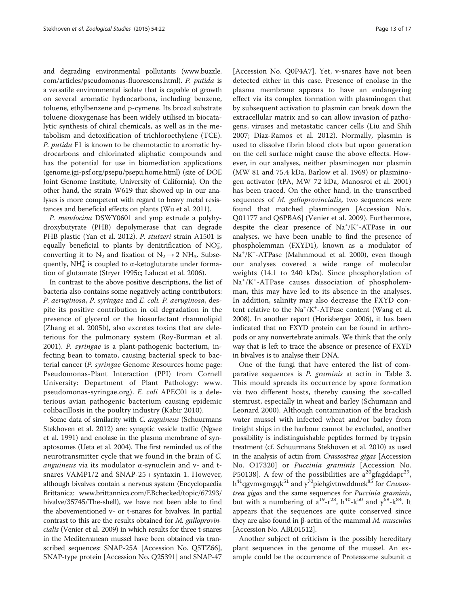and degrading environmental pollutants ([www.buzzle.](http://www.buzzle.com/articles/pseudomonas-fluorescens.html) [com/articles/pseudomonas-fluorescens.html\)](http://www.buzzle.com/articles/pseudomonas-fluorescens.html). P. putida is a versatile environmental isolate that is capable of growth on several aromatic hydrocarbons, including benzene, toluene, ethylbenzene and p-cymene. Its broad substrate toluene dioxygenase has been widely utilised in biocatalytic synthesis of chiral chemicals, as well as in the metabolism and detoxification of trichloroethylene (TCE). P. putida F1 is known to be chemotactic to aromatic hydrocarbons and chlorinated aliphatic compounds and has the potential for use in biomediation applications (genome.jgi-psf.org/psepu/psepu.home.html) (site of DOE Joint Genome Institute, University of California). On the other hand, the strain W619 that showed up in our analyses is more competent with regard to heavy metal resistances and beneficial effects on plants (Wu et al. [2011\)](#page-16-0).

P. mendocina DSWY0601 and ymp extrude a polyhydroxybutyrate (PHB) depolymerase that can degrade PHB plastic (Yan et al. [2012](#page-16-0)). P. stutzeri strain A1501 is equally beneficial to plants by denitrification of  $NO_3^-,$ converting it to  $N_2$  and fixation of  $N_2 \rightarrow 2 \text{ NH}_3$ . Subsequently,  $NH_4^+$  is coupled to  $\alpha$ -ketoglutarate under formation of glutamate (Stryer [1995c;](#page-15-0) Lalucat et al. [2006\)](#page-14-0).

In contrast to the above positive descriptions, the list of bacteria also contains some negatively acting contributors: P. aeruginosa, P. syringae and E. coli. P. aeruginosa, despite its positive contribution in oil degradation in the presence of glycerol or the biosurfactant rhamnolipid (Zhang et al. [2005b](#page-16-0)), also excretes toxins that are deleterious for the pulmonary system (Roy-Burman et al. [2001\)](#page-15-0). P. syringae is a plant-pathogenic bacterium, infecting bean to tomato, causing bacterial speck to bacterial cancer (P. syringae Genome Resources home page: Pseudomonas-Plant Interaction (PPI) from Cornell University: Department of Plant Pathology: [www.](http://www.pseudomonas-syringae.org) [pseudomonas-syringae.org\)](http://www.pseudomonas-syringae.org). E. coli APEC01 is a deleterious avian pathogenic bacterium causing epidemic colibacillosis in the poultry industry (Kabir [2010](#page-14-0)).

Some data of similarity with C. anguineus (Schuurmans Stekhoven et al. [2012\)](#page-15-0) are: synaptic vesicle traffic (Ngsee et al. [1991](#page-15-0)) and enolase in the plasma membrane of synaptosomes (Ueta et al. [2004](#page-15-0)). The first reminded us of the neurotransmitter cycle that we found in the brain of C. *anguineus* via its modulator  $\alpha$ -synuclein and v- and tsnares VAMP1/2 and SNAP-25 + syntaxin 1. However, although bivalves contain a nervous system (Encyclopaedia Brittanica: [www.brittannica.com/EBchecked/topic/67293/](http://www.brittannica.com/EBchecked/topic/67293/bivalve/35745/The-shell) [bivalve/35745/The-shell\)](http://www.brittannica.com/EBchecked/topic/67293/bivalve/35745/The-shell), we have not been able to find the abovementioned v- or t-snares for bivalves. In partial contrast to this are the results obtained for M. galloprovincialis (Venier et al. [2009\)](#page-15-0) in which results for three t-snares in the Mediterranean mussel have been obtained via transcribed sequences: SNAP-25A [Accession No. Q5TZ66], SNAP-type protein [Accession No. Q25391] and SNAP-47

[Accession No. Q0P4A7]. Yet, v-snares have not been detected either in this case. Presence of enolase in the plasma membrane appears to have an endangering effect via its complex formation with plasminogen that by subsequent activation to plasmin can break down the extracellular matrix and so can allow invasion of pathogens, viruses and metastatic cancer cells (Liu and Shih [2007;](#page-14-0) Díaz-Ramos et al. [2012](#page-14-0)). Normally, plasmin is used to dissolve fibrin blood clots but upon generation on the cell surface might cause the above effects. However, in our analyses, neither plasminogen nor plasmin (MW 81 and 75.4 kDa, Barlow et al. [1969\)](#page-14-0) or plasminogen activator (tPA, MW 72 kDa, Manosroi et al. [2001](#page-15-0)) has been traced. On the other hand, in the transcribed sequences of M. galloprovincialis, two sequences were found that matched plasminogen [Accession No's. Q01177 and Q6PBA6] (Venier et al. [2009](#page-15-0)). Furthermore, despite the clear presence of Na<sup>+</sup>/K<sup>+</sup>-ATPase in our analyses, we have been unable to find the presence of phospholemman (FXYD1), known as a modulator of Na<sup>+</sup>/K<sup>+</sup>-ATPase (Mahmmoud et al. [2000\)](#page-14-0), even though our analyses covered a wide range of molecular weights (14.1 to 240 kDa). Since phosphorylation of Na<sup>+</sup>/K<sup>+</sup>-ATPase causes dissociation of phospholemman, this may have led to its absence in the analyses. In addition, salinity may also decrease the FXYD content relative to the Na<sup>+</sup>/K<sup>+</sup>-ATPase content (Wang et al. [2008](#page-16-0)). In another report (Horisberger [2006](#page-14-0)), it has been indicated that no FXYD protein can be found in arthropods or any nonvertebrate animals. We think that the only way that is left to trace the absence or presence of FXYD in bivalves is to analyse their DNA.

One of the fungi that have entered the list of comparative sequences is P. graminis at actin in Table [3](#page-6-0). This mould spreads its occurrence by spore formation via two different hosts, thereby causing the so-called stemrust, especially in wheat and barley (Schumann and Leonard [2000](#page-15-0)). Although contamination of the brackish water mussel with infected wheat and/or barley from freight ships in the harbour cannot be excluded, another possibility is indistinguishable peptides formed by trypsin treatment (cf. Schuurmans Stekhoven et al. [2010](#page-15-0)) as used in the analysis of actin from Crassostrea gigas [Accession No. O17320] or Puccinia graminis [Accession No. P50138]. A few of the possibilities are  $a^{20}$ gfagddapr<sup>29</sup>,  $h^{41}$ qgvmvgmgqk<sup>51</sup> and y<sup>70</sup>piehgivtnwddmek<sup>85</sup> for Crassostrea gigas and the same sequences for Puccinia graminis, but with a numbering of  $a^{19} - r^{28}$ ,  $h^{40} - k^{50}$  and  $y^{69} - k^{84}$ . It appears that the sequences are quite conserved since they are also found in β-actin of the mammal *M. musculus* [Accession No. ABL01512].

Another subject of criticism is the possibly hereditary plant sequences in the genome of the mussel. An example could be the occurrence of Proteasome subunit α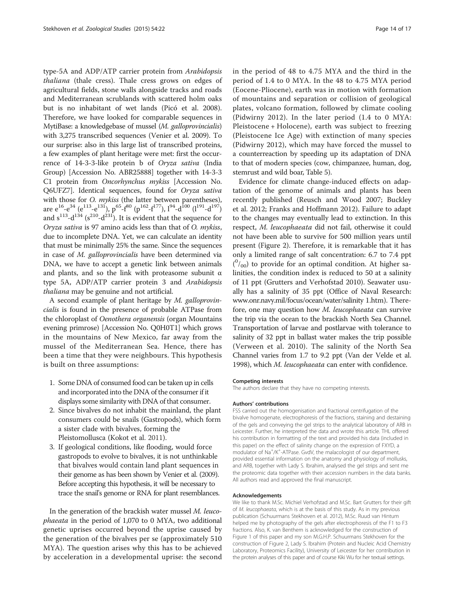type-5A and ADP/ATP carrier protein from Arabidopsis thaliana (thale cress). Thale cress grows on edges of agricultural fields, stone walls alongside tracks and roads and Mediterranean scrublands with scattered holm oaks but is no inhabitant of wet lands (Picó et al. [2008](#page-15-0)). Therefore, we have looked for comparable sequences in MytiBase: a knowledgebase of mussel (M. galloprovincialis) with 3,275 transcribed sequences (Venier et al. [2009](#page-15-0)). To our surprise: also in this large list of transcribed proteins, a few examples of plant heritage were met: first the occurrence of 14-3-3-like protein b of Oryza sativa (India Group) [Accession No. ABR25888] together with 14-3-3 C1 protein from Oncorhynchus mykiss [Accession No. Q6UFZ7]. Identical sequences, found for Oryza sativa with those for *O. mykiss* (the latter between parentheses), are  $e^{16}-e^{34}$  ( $e^{113}-e^{131}$ ),  $p^{65}-f^{80}$  ( $p^{162}-f^{177}$ ),  $l^{94}-d^{100}$  ( $l^{191}-d^{197}$ ) and  $s^{113}$ -d<sup>134</sup> ( $s^{210}$ -d<sup>231</sup>). It is evident that the sequence for Oryza sativa is 97 amino acids less than that of O. mykiss, due to incomplete DNA. Yet, we can calculate an identity that must be minimally 25% the same. Since the sequences in case of M. galloprovincialis have been determined via DNA, we have to accept a genetic link between animals and plants, and so the link with proteasome subunit  $\alpha$ type 5A, ADP/ATP carrier protein 3 and Arabidopsis thaliana may be genuine and not artificial.

A second example of plant heritage by M. galloprovincialis is found in the presence of probable ATPase from the chloroplast of Oenothera organensis (organ Mountains evening primrose) [Accession No. Q0H0T1] which grows in the mountains of New Mexico, far away from the mussel of the Mediterranean Sea. Hence, there has been a time that they were neighbours. This hypothesis is built on three assumptions:

- 1. Some DNA of consumed food can be taken up in cells and incorporated into the DNA of the consumer if it displays some similarity with DNA of that consumer.
- 2. Since bivalves do not inhabit the mainland, the plant consumers could be snails (Gastropods), which form a sister clade with bivalves, forming the Pleistomollusca (Kokot et al. [2011](#page-14-0)).
- 3. If geological conditions, like flooding, would force gastropods to evolve to bivalves, it is not unthinkable that bivalves would contain land plant sequences in their genome as has been shown by Venier et al. [\(2009\)](#page-15-0). Before accepting this hypothesis, it will be necessary to trace the snail's genome or RNA for plant resemblances.

In the generation of the brackish water mussel M. leucophaeata in the period of 1,070 to 0 MYA, two additional genetic uprises occurred beyond the uprise caused by the generation of the bivalves per se (approximately 510 MYA). The question arises why this has to be achieved by acceleration in a developmental uprise: the second in the period of 48 to 4.75 MYA and the third in the period of 1.4 to 0 MYA. In the 48 to 4.75 MYA period (Eocene-Pliocene), earth was in motion with formation of mountains and separation or collision of geological plates, volcano formation, followed by climate cooling (Pidwirny [2012](#page-15-0)). In the later period (1.4 to 0 MYA: Pleistocene + Holocene), earth was subject to freezing (Pleistocene Ice Age) with extinction of many species (Pidwirny [2012\)](#page-15-0), which may have forced the mussel to a counterreaction by speeding up its adaptation of DNA to that of modern species (cow, chimpanzee, human, dog, stemrust and wild boar, Table [5\)](#page-10-0).

Evidence for climate change-induced effects on adaptation of the genome of animals and plants has been recently published (Reusch and Wood [2007;](#page-15-0) Buckley et al. [2012](#page-14-0); Franks and Hoffmann [2012\)](#page-14-0). Failure to adapt to the changes may eventually lead to extinction. In this respect, M. leucophaeata did not fail, otherwise it could not have been able to survive for 500 million years until present (Figure [2](#page-9-0)). Therefore, it is remarkable that it has only a limited range of salt concentration: 6.7 to 7.4 ppt  $(^{0}/_{00})$  to provide for an optimal condition. At higher salinities, the condition index is reduced to 50 at a salinity of 11 ppt (Grutters and Verhofstad [2010](#page-14-0)). Seawater usually has a salinity of 35 ppt (Office of Naval Research: [www.onr.navy.mil/focus/ocean/water/salinity](http://www.onr.navy.mil/focus/ocean/water/salinity) 1.htm). Therefore, one may question how M. leucophaeata can survive the trip via the ocean to the brackish North Sea Channel. Transportation of larvae and postlarvae with tolerance to salinity of 32 ppt in ballast water makes the trip possible (Verween et al. [2010](#page-15-0)). The salinity of the North Sea Channel varies from 1.7 to 9.2 ppt (Van der Velde et al. [1998](#page-15-0)), which M. leucophaeata can enter with confidence.

#### Competing interests

The authors declare that they have no competing interests.

#### Authors' contributions

FSS carried out the homogenisation and fractional centrifugation of the bivalve homogenate, electrophoresis of the fractions, staining and destaining of the gels and conveying the gel strips to the analytical laboratory of ARB in Leicester. Further, he interpreted the data and wrote this article. THL offered his contribution in formatting of the text and provided his data (included in this paper) on the effect of salinity change on the expression of FXYD, a modulator of Na<sup>+</sup>/K<sup>+</sup>-ATPase. GvdV, the malacologist of our department, provided essential information on the anatomy and physiology of mollusks, and ARB, together with Lady S. Ibrahim, analysed the gel strips and sent me the proteomic data together with their accession numbers in the data banks. All authors read and approved the final manuscript.

#### Acknowledgements

We like to thank M.Sc. Michiel Verhofstad and M.Sc. Bart Grutters for their gift of M. leucophaeata, which is at the basis of this study. As in my previous publication (Schuurmans Stekhoven et al. [2012](#page-15-0)), M.Sc. Ruud van Hintum helped me by photography of the gels after electrophoresis of the F1 to F3 fractions. Also, K. van Benthem is acknowledged for the construction of Figure [1](#page-1-0) of this paper and my son M.G.H.P. Schuurmans Stekhoven for the construction of Figure [2](#page-9-0), Lady S. Ibrahim (Protein and Nucleic Acid Chemistry Laboratory, Proteomics Facility), University of Leicester for her contribution in the protein analyses of this paper and of course Kiki Wu for her textual settings.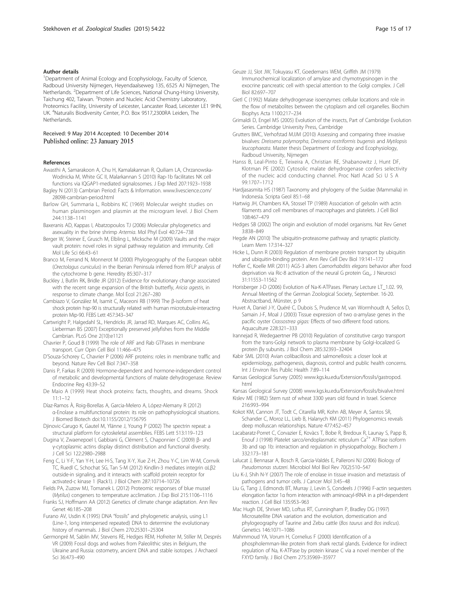#### <span id="page-14-0"></span>Author details

<sup>1</sup>Department of Animal Ecology and Ecophysiology, Faculty of Science, Radboud University Nijmegen, Heyendaalseweg 135, 6525 AJ Nijmegen, The Netherlands. <sup>2</sup>Department of Life Sciences, National Chung-Hsing University, Taichung 402, Taiwan. <sup>3</sup>Protein and Nucleic Acid Chemistry Laboratory, Proteomics Facility, University of Leicester, Lancaster Road, Leicester LE1 9HN, UK. <sup>4</sup>Naturalis Biodiversity Center, P.O. Box 9517,2300RA Leiden, The Netherlands.

#### Received: 9 May 2014 Accepted: 10 December 2014 Published online: 23 January 2015

#### References

- Awasthi A, Samarakoon A, Chu H, Kamalakannan R, Quiliam LA, Chrzanowska-Wodnicka M, White GC II, Malarkannan S (2010) Rap-1b facilitates NK cell functions via IQGAP1-mediated signalosomes. J Exp Med 207:1923–1938
- Bagley N (2013) Cambrian Period: Facts & Information. [www.livescience.com/](http://www.livescience.com/28098-cambrian-period.html) [28098-cambrian-period.html](http://www.livescience.com/28098-cambrian-period.html)
- Barlow GH, Summaria L, Robbins KC (1969) Molecular weight studies on human plasminogen and plasmin at the microgram level. J Biol Chem 244:1138–1141
- Baxeranis AD, Kappas I, Abatzopoulos TJ (2006) Molecular phylogenetics and asexuality in the brine shrimp Artemia. Mol Phyl Evol 40:724–738
- Berger W, Steiner E, Grusch M, Elbling L, Micksche M (2009) Vaults and the major vault protein: novel roles in signal pathway regulation and immunity. Cell Mol Life Sci 66:43–61
- Branco M, Ferrand N, Monnerot M (2000) Phylogeography of the European rabbit (Orectolagus cuniculus) in the Iberian Peninsula inferred from RFLP analysis of the cytochrome b gene. Heredity 85:307–317
- Buckley J, Butlin RK, Bridle JR (2012) Evidence for evolutionary change associated with the recent range expansion of the British butterfly, Aricia agestis, in response to climate change. Mol Ecol 21:267–280
- Cambiazo V, González M, Isamit C, Maceoni RB (1999) The β-isoform of heat shock protein hsp-90 is structurally related with human microtubule-interacting protein Mip-90. FEBS Lett 457:343–347
- Cartwright P, Halgedahl SL, Hendricks JR, Jarrad RD, Marques AC, Collins AG, Lieberman BS (2007) Exceptionally preserved jellyfishes from the Middle Cambrian. PLoS One 2(10):e1121
- Chavrier P, Goud B (1999) The role of ARF and Rab GTPases in membrane transport. Curr Opin Cell Biol 11:466–475
- D'Souza-Schorey C, Chavrier P (2006) ARF proteins: roles in membrane traffic and beyond. Nature Rev Cell Biol 7:347–358
- Danis P, Farkas R (2009) Hormone-dependent and hormone-independent control of metabolic and developmental functions of malate dehydrogenase. Review Endocrine Reg 43:39–52
- De Maio A (1999) Heat shock proteins: facts, thoughts, and dreams. Shock 11:1–12
- Díaz-Ramos À, Roig-Borellas A, Garcia-Melero A, López-Alemany R (2012) α-Enolase a multifunctional protein: its role on pathophysiological situations. J Biomed Biotech doi:10.1155/2012/156795
- Djinovic-Carugo K, Gautel M, Ylänne J, Young P (2002) The spectrin repeat: a structural platform for cytoskeletal assemblies. FEBS Lett 513:119–123
- Dugina V, Zwaenepoel I, Gabbiani G, Clément S, Chaponnier C (2009) β- and γ-cytoplasmic actins display distinct distribution and functional diversity. J Cell Sci 122:2980–2988
- Feng C, Li Y-F, Yan Y-H, Lee H-S, Tang X-Y, Xue Z-H, Zhou Y-C, Lim W-M, Cornvik TC, Ruedl C, Schochat SG, Tan S-M (2012) Kindlin-3 mediates integrin αLβ2 outside-in signaling, and it interacts with scaffold protein receptor for activated-c kinase 1 (Rack1). J Biol Chem 287:10714–10726
- Fields PA, Zuzow MJ, Tomanek L (2012) Proteomic responses of blue mussel (Mytilus) congeners to temperature acclimation. J Exp Biol 215:1106–1116
- Franks SJ, Hoffmann AA (2012) Genetics of climate change adaptation. Ann Rev Genet 46:185–208
- Furano AV, Usdin K (1995) DNA "fossils" and phylogenetic analysis, using L1 (Line-1, long interspersed repeated) DNA to determine the evolutionary history of mammals. J Biol Chem 270:25301–25304
- Germonpré M, Sablin MV, Stevens RE, Hedges REM, Hofreiter M, Stiller M, Després VR (2009) Fossil dogs and wolves from Paleolithic sites in Belgium, the Ukraine and Russia: ostometry, ancient DNA and stable isotopes. J Archaeol Sci 36:473–490
- Geuze JJ, Slot JW, Tokuyasu KT, Goedemans WEM, Griffith JM (1979) Immunochemical localization of amylase and chymotrypsinogen in the exocrine pancreatic cell with special attention to the Golgi complex. J Cell Biol 82:697–707
- Gietl C (1992) Malate dehydrogenase isoenzymes: cellular locations and role in the flow of metabolites between the cytoplasm and cell organelles. Biochim Biophys Acta 1100:217–234
- Grimaldi D, Engel MS (2005) Evolution of the insects, Part of Cambridge Evolution Series. Cambridge University Press, Cambridge
- Grutters BMC, Verhofstad MJJM (2010) Assessing and comparing three invasive bivalves: Dreissena polymorpha, Dreissena rostriformis bugensis and Mytilopsis leucophaeata. Master thesis Department of Ecology and Ecophysiology, Radboud University, Nijmegen
- Hanss B, Leal-Pinto E, Teixeira A, Christian RE, Shabanowitz J, Hunt DF, Klotman PE (2002) Cytosolic malate dehydrogenase confers selectivity of the nucleic acid conducting channel. Proc Natl Acad Sci U S A 99:1707–1712
- Hardjasasmita HS (1987) Taxonomy and phylogeny of the Suidae (Mammalia) in Indonesia. Scripta Geol 85:1–68
- Hartwig JH, Chambers KA, Stossel TP (1989) Association of gelsolin with actin filaments and cell membranes of macrophages and platelets. J Cell Biol 108:467–479
- Hedges SB (2002) The origin and evolution of model organisms. Nat Rev Genet 3:838–849
- Hegde AN (2010) The ubiquitin-proteasome pathway and synaptic plasticity. Learn Mem 17:314–327
- Hicke L, Dunn R (2003) Regulation of membrane protein transport by ubiquitin and ubiquitin-binding protein. Ann Rev Cell Dev Biol 19:141–172
- Hofler C, Koelle MR (2011) AGS-3 alters Caenorhabditis elegans behavior after food deprivation via Ric-8 activation of the neural G protein Gα<sub>o</sub>. J Neurosci 31:11553–11562
- Horisberger J-D (2006) Evolution of Na-K-ATPases. Plenary Lecture LT\_1.02. 99, Annual Meeting of the German Zoological Society, September. 16-20. Abstractband, Münster, p 9
- Huvet A, Daniel J-Y, Quéré C, Dubois S, Prudence M, van Wormhoudt A, Sellos D, Samain J-F, Moal J (2003) Tissue expression of two α-amylase genes in the pacific oyster Crassostrea gigas: Effects of two different food rations. Aquaculture 228:321–333
- Irannejad R, Wedegaertner PB (2010) Regulation of constitutive cargo transport from the trans-Golgi network to plasma membrane by Golgi-localized G protein βγ subunits. J Biol Chem 285:32393–32404

Kabir SML (2010) Avian colibacillosis and salmonellosis: a closer look at epidemiology, pathogenesis, diagnosis, control and public health concerns. Int J Environ Res Public Health 7:89–114

Kansas Geological Survey (2005) [www.kgs.ku.edu/Extension/fossils/gastropod.](http://www.kgs.ku.edu/Extension/fossils/gastropod.html) [html](http://www.kgs.ku.edu/Extension/fossils/gastropod.html)

Kansas Geological Survey (2008) [www.kgs.ku.edu/Extension/fossils/bivalve.html](http://www.kgs.ku.edu/Extension/fossils/bivalve.html) Kislev ME (1982) Stem rust of wheat 3300 years old found in Israel. Science 216:993–994

Kokot KM, Cannon JT, Todt C, Citarella MR, Kohn AB, Meyer A, Santos SR, Schander C, Moroz LL, Lieb B, Halanych KM (2011) Phylogenomics reveals deep molluscan relationships. Nature 477:452–457

Lacabaratz-Porret C, Corvazier E, Kovàcs T, Bobe R, Bredoux R, Launay S, Papp B, Enouf J (1998) Platelet sarco/endoplasmatic reticulum  $Ca<sup>2+</sup>$  ATPase isoform 3b and rap 1b: interaction and regulation in physiopathology. Biochem J 332:173–181

- Lalucat J, Bennasar A, Bosch R, Garcia-Valdés E, Palleroni NJ (2006) Biology of Pseudomonas stutzeri. Microbiol Mol Biol Rev 70(2):510–547
- Liu K-J, Shih N-Y (2007) The role of enolase in tissue invasion and metastasis of pathogens and tumor cells. J Cancer Mol 3:45–48
- Liu G, Tang J, Edmonds BT, Murray J, Levin S, Condeels J (1996) F-actin sequesters elongation factor 1α from interaction with aminoacyl-tRNA in a pH-dependent reaction. J Cell Biol 135:953–963
- Mac Hugh DE, Shriver MD, Loftus RT, Cunningham P, Bradley DG (1997) Microsatellite DNA variation and the evolution, domestication and phylogeography of Taurine and Zebu cattle (Bos taurus and Bos indicus). Genetics 146:1071–1086
- Mahmmoud YA, Vorum H, Cornelius F (2000) Identification of a phospholemman-like protein from shark rectal glands. Evidence for indirect regulation of Na, K-ATPase by protein kinase C via a novel member of the FXYD family. J Biol Chem 275:35969–35977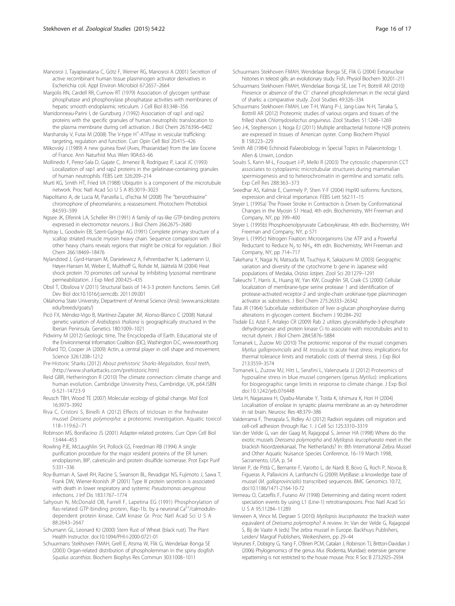- <span id="page-15-0"></span>Manosroi J, Tayapiwatana C, Götz F, Werner RG, Manosroi A (2001) Secretion of active recombinant human tissue plasminogen activator derivatives in Escherichia coli. Appl Environ Microbiol 67:2657–2664
- Margolis RN, Cardell RR, Curnow RT (1979) Association of glycogen synthase phosphatase and phosphorylase phosphatase activities with membranes of hepatic smooth endoplasmic reticulum. J Cell Biol 83:348–356
- Marridonneau-Parini I, de Gunzburg J (1992) Association of rap1 and rap2 proteins with the specific granules of human neutrophils: translocation to the plasma membrane during cell activation. J Biol Chem 267:6396–6402
- Marshansky V, Futai M (2008) The V-type H<sup>+</sup>-ATPase in vesicular trafficking: targeting, regulation and function. Curr Opin Cell Biol 20:415–426
- Mlikovský J (1989) A new guinea fowl (Aves, Phasianidae) from the late Eocene of France. Ann Naturhist Mus Wien 90A:63–66
- Mollinedo F, Perez-Sala D, Gajate C, Jimenez B, Rodriguez P, Lacal JC (1993) Localization of rap1 and rap2 proteins in the gelatinase-containing granules of human neutrophils. FEBS Lett 326:209–214
- Murti KG, Smith HT, Fried VA (1988) Ubiquitin is a component of the microtubule network. Proc Natl Acad Sci U S A 85:3019–3023
- Napolitano A, de Lucia M, Panzella L, d'Ischia M (2008) The "benzothiazine" chromophore of pheomelanins: a reassessment. Photochem Photobiol 84:593–599
- Ngsee JK, Elferink LA, Scheller RH (1991) A family of ras-like GTP-binding proteins expressed in electromotor neurons. J Biol Chem 266:2675–2680
- Nyitray L, Goodwin EB, Szent-Györgyi AG (1991) Complete primary structure of a scallop striated muscle myosin heavy chain. Sequence comparison with other heavy chains reveals regions that might be critical for regulation. J Biol Chem 266:18469–18476
- Nylandsted J, Gyrd-Hansen M, Danielewicz A, Fehrenbacher N, Lademann U, Høyer-Hansen M, Weber E, Multhoff G, Rohde M, Jäättelä M (2004) Heat shock protein 70 promotes cell survival by inhibiting lysosomal membrane permeabilization. J Exp Med 200:425–435
- Obsil T, Obsilova V (2011) Structural basis of 14-3-3 protein functions. Semin. Cell Dev Biol doi:10.1016/j.semcdb. 2011.09.001
- Oklahoma State University, Department of Animal Science (Ansi): [\(www.ansi.okstate.](http://www.ansi.okstate.edu/breeds/goats/) [edu/breeds/goats/](http://www.ansi.okstate.edu/breeds/goats/))
- Picó FX, Méndez-Vigo B, Martínez-Zapater JM, Alonso-Blanco C (2008) Natural genetic variation of Arabidopsis thaliana is geographically structured in the Iberian Peninsula. Genetics 180:1009–1021
- Pidwirny M (2012) Geologic time, The Encyclopedia of Earth. Educational site of the Environmental Information Coalition (EIC), Washington D.C, [www.eoearth.org](http://www.eoearth.org)
- Pollard TD, Cooper JA (2009) Actin, a central player in cell shape and movement. Science 326:1208–1212
- Pre-Historic Sharks (2012) About prehistoric Sharks-Megalodon, fossil teeth, ([http://www.sharkattacks.com/prehistoric.htm\)](http://www.sharkattacks.com/prehistoric.htm)
- Reid GBR, Hetherington R (2010) The climate connection: climate change and human evolution. Cambridge University Press, Cambridge, UK, p64.ISBN 0-521-14723-9
- Reusch TBH, Wood TE (2007) Molecular ecology of global change. Mol Ecol 16:3973–3992
- Riva C, Cristoni S, Binelli A (2012) Effects of triclosan in the freshwater mussel Dreissena polymorpha: a proteomic investigation. Aquatic toxicol 118–119:62–71
- Robinson MS, Bonifacino JS (2001) Adapter-related proteins. Curr Opin Cell Biol 13:444–453
- Rowling PJE, McLaughlin SH, Pollock GS, Freedman RB (1994) A single purification procedure for the major resident proteins of the ER lumen: endoplasmin, BIP, calreticulin and protein disulfide isomerase. Prot Expr Purif 5:331–336
- Roy-Burman A, Savel RH, Racine S, Swanson BL, Revadigar NS, Fujimoto J, Sawa T, Frank DW, Wiener-Kronish JP (2001) Type III protein secretion is associated with death in lower respiratory and systemic Pseudomonas aeruginosa infections. J Inf Dis 183:1767–1774
- Sahyoun N, McDonald OB, Farrell F, Lapetina EG (1991) Phosphorylation of Ras-related GTP-binding protein, Rap-1b, by a neuronal  $Ca<sup>2+</sup>/calmoduli$ ndependent protein kinase, CaM kinase Gr. Proc Natl Acad Sci U S A 88:2643–2647
- Schumann GL, Leonard KJ (2000) Stem Rust of Wheat (black rust). The Plant Health Instructor. doi:10.1094/PHI-I-2000-0721-01
- Schuurmans Stekhoven FMAH, Grell E, Atsma W, Flik G, Wendelaar Bonga SE (2003) Organ-related distribution of phospholemman in the spiny dogfish Squalus acanthias. Biochem Biophys Res Commun 303:1008–1011
- Schuurmans Stekhoven FMAH, Wendelaar Bonga SE, Flik G (2004) Extranuclear histones in teleost gills: an evolutionary study. Fish. Physiol Biochem 30:201–211
- Schuurmans Stekhoven FMAH, Wendelaar Bonga SE, Lee T-H, Bottrill AR (2010) Presence or absence of the Cl<sup>−</sup> channel phospholemman in the rectal gland of sharks: a comparative study. Zool Studies 49:326–334
- Schuurmans Stekhoven FMAH, Lee T-H, Wang P-J, Jang-Liaw N-H, Tanaka S, Bottrill AR (2012) Proteomic studies of various organs and tissues of the frilled shark Chlamydoselachus anguineus. Zool Studies 51:1248–1269
- Seo J-K, Stephenson J, Noga EJ (2011) Multiple antibacterial histone H2B proteins are expressed in tissues of American oyster. Comp Biochem Physiol B 158:223–229
- Smith AB (1984) Echinoid Palaeobiology in Special Topics in Palaeontology 1. Allen & Unwin, London
- Souès S, Kann M-L, Fouquet J-P, Melki R (2003) The cytosolic chaperonin CCT associates to cytoplasmic microtubular structures during mammalian spermiogenesis and to heterochromatin in germline and somatic cells. Exp Cell Res 288:363–373
- Sreedhar AS, Kalmár E, Csermely P, Shen Y-F (2004) Hsp90 isoforms: functions, expression and clinical importance. FEBS Lett 562:11–15
- Stryer L (1995a) The Power Stroke in Contraction is Driven by Conformational Changes in the Myosin S1 Head, 4th edn. Biochemistry, WH Freeman and Company, NY, pp 399–400
- Stryer L (1995b) Phosphoenolpyruvate Carboxykinase, 4th edn. Biochemistry, WH Freeman and Company, NY, p 571
- Stryer L (1995c) Nitrogen Fixation: Microorganisms Use ATP and a Powerful Reductant to Reduce  $N_2$  to  $NH_3$ , 4th edn. Biochemistry, WH Freeman and Company, NY, pp 714–717
- Takehana Y, Nagai N, Matsuda M, Tsuchiya K, Sakaizumi M (2003) Geographic variation and diversity of the cytochrome b gene in Japanese wild populations of Medaka, Orizias latipes. Zool Sci 20:1279–1291
- Takeuchi T, Harris JL, Huang W, Yan KW, Coughlin SR, Craik CS (2000) Cellular localization of membrane-type serine protease 1 and identification of protease-activated receptor-2 and single-chain urokinase-type plasminogen activator as substrates. J Biol Chem 275:26333–26342
- Tata JR (1964) Subcellular redistribution of liver α-glucan phosphorylase during alterations in glycogen content. Biochem J 90:284–292
- Tisdale EJ, Azizi F, Artalejo CR (2009) Rab 2 utilizes glyceraldehyde-3-phosphate dehydrogenase and protein kinase Ci to associate with microtubules and to recruit dynein. J Biol Chem 284:5876–5884
- Tomanek L, Zuzow MJ (2010) The proteomic response of the mussel congeners Mytilus galloprovincialis and M. trossulus to acute heat stress: implications for thermal tolerance limits and metabolic costs of thermal stress. J Exp Biol 213:3559–3574
- Tomanek L, Zuzow MJ, Hitt L, Serafini L, Valenzuela JJ (2012) Proteomics of hyposaline stress in blue mussel congeners (genus Mytilus): implications for biogeographic range limits in response to climate change. J Exp Biol doi:10.1242/jeb.076448
- Ueta H, Nagasawa H, Oyabu-Manabe Y, Toida K, Ishimura K, Hori H (2004) Localisation of enolase in synaptic plasma membrane as an αγ heterodimer in rat brain. Neurosc Res 48:379–386
- Valderrama F, Therapala S, Ridley AJ (2012) Radixin regulates cell migration and cell-cell adhesion through Rac 1. J Cell Sci 125:3310–3319
- Van der Velde G, van der Gaag M, Rajagopal S, Jenner HA (1998) Where do the exotic mussels Dreissena polymorpha and Mytilopsis leucophaeata meet in the brackish Noordzeekanaal, The Netherlands? In: 8th International Zebra Mussel and Other Aquatic Nuisance Species Conference, 16–19 March 1998, Sacramento, USA, p. 54
- Venier P, de Pittà C, Bernante F, Varotto L, de Nardi B, Bovo G, Roch P, Novoa B, Figueras A, Pallavicini A, Lanfranchi G (2009) MytiBase: a knowledge base of mussel (M. galloprovincialis) transcribed sequences. BMC Genomics 10:72, doi[:10.1186/1471-2164-10-72](http://dx.doi.org/10.1186/1471-2164-10-72)
- Verneau O, Catzeflis F, Furano AV (1998) Determining and dating recent rodent speciation events by using L1 (Line-1) retrotransposons. Proc Natl Acad Sci U S A 95:11284–11289
- Verween A, Vincx M, Degraer S (2010) Mytilopsis leucophaeata: the brackish water equivalent of Dreissena polymorpha? A review. In: Van der Velde G, Rajagopal S, Bij de Vaate A (eds) The zebra mussel in Europe. Backhuys Publishers, Leiden/ Margraf Publishers, Weikersheim, pp 29–44
- Veyrunes F, Dobigny G, Yang F, O'Brien PCM, Catalan J, Robinson TJ, Britton-Davidian J (2006) Phylogenomics of the genus Mus (Rodentia, Muridae): extensive genome repatterning is not restricted to the house mouse. Proc R Soc B 273:2925–2934